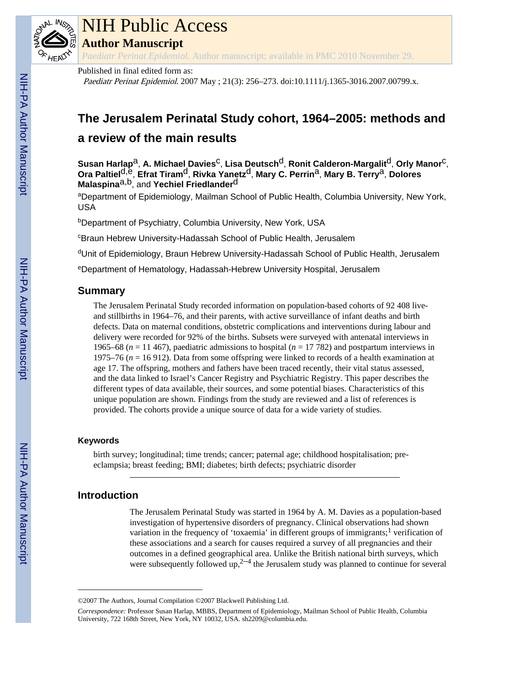

# NIH Public Access

**Author Manuscript**

*Paediatr Perinat Epidemiol*. Author manuscript; available in PMC 2010 November 29.

# Published in final edited form as:

Paediatr Perinat Epidemiol. 2007 May ; 21(3): 256–273. doi:10.1111/j.1365-3016.2007.00799.x.

# **The Jerusalem Perinatal Study cohort, 1964–2005: methods and a review of the main results**

**Susan Harlap**a, **A. Michael Davies**c, **Lisa Deutsch**d, **Ronit Calderon-Margalit**d, **Orly Manor**c, **Ora Paltiel**d,e, **Efrat Tiram**d, **Rivka Yanetz**d, **Mary C. Perrin**a, **Mary B. Terry**a, **Dolores Malaspina**a,b, and **Yechiel Friedlander**d

aDepartment of Epidemiology, Mailman School of Public Health, Columbia University, New York, USA

<sup>b</sup>Department of Psychiatry, Columbia University, New York, USA

<sup>c</sup>Braun Hebrew University-Hadassah School of Public Health, Jerusalem

<sup>d</sup>Unit of Epidemiology, Braun Hebrew University-Hadassah School of Public Health, Jerusalem

<sup>e</sup>Department of Hematology, Hadassah-Hebrew University Hospital, Jerusalem

# **Summary**

The Jerusalem Perinatal Study recorded information on population-based cohorts of 92 408 liveand stillbirths in 1964–76, and their parents, with active surveillance of infant deaths and birth defects. Data on maternal conditions, obstetric complications and interventions during labour and delivery were recorded for 92% of the births. Subsets were surveyed with antenatal interviews in 1965–68 ( $n = 11$  467), paediatric admissions to hospital ( $n = 17$  782) and postpartum interviews in 1975–76 (*n* = 16 912). Data from some offspring were linked to records of a health examination at age 17. The offspring, mothers and fathers have been traced recently, their vital status assessed, and the data linked to Israel's Cancer Registry and Psychiatric Registry. This paper describes the different types of data available, their sources, and some potential biases. Characteristics of this unique population are shown. Findings from the study are reviewed and a list of references is provided. The cohorts provide a unique source of data for a wide variety of studies.

# **Keywords**

birth survey; longitudinal; time trends; cancer; paternal age; childhood hospitalisation; preeclampsia; breast feeding; BMI; diabetes; birth defects; psychiatric disorder

# **Introduction**

The Jerusalem Perinatal Study was started in 1964 by A. M. Davies as a population-based investigation of hypertensive disorders of pregnancy. Clinical observations had shown variation in the frequency of 'toxaemia' in different groups of immigrants;<sup>1</sup> verification of these associations and a search for causes required a survey of all pregnancies and their outcomes in a defined geographical area. Unlike the British national birth surveys, which were subsequently followed up,  $2^{-4}$  the Jerusalem study was planned to continue for several

<sup>©2007</sup> The Authors, Journal Compilation ©2007 Blackwell Publishing Ltd.

*Correspondence:* Professor Susan Harlap, MBBS, Department of Epidemiology, Mailman School of Public Health, Columbia University, 722 168th Street, New York, NY 10032, USA. sh2209@columbia.edu.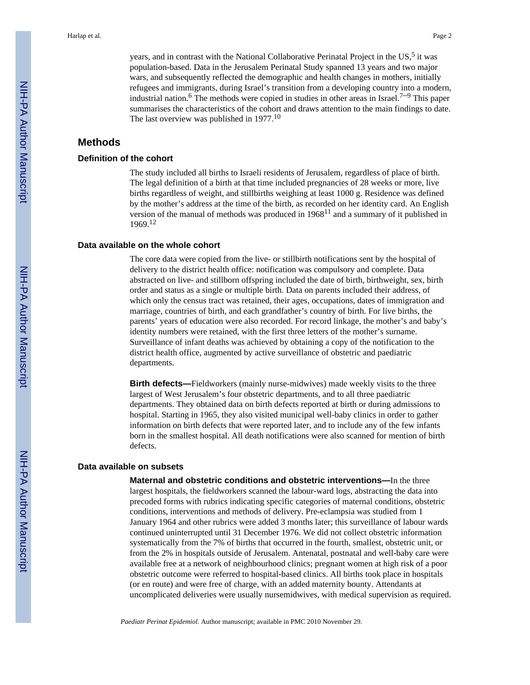years, and in contrast with the National Collaborative Perinatal Project in the US,<sup>5</sup> it was population-based. Data in the Jerusalem Perinatal Study spanned 13 years and two major wars, and subsequently reflected the demographic and health changes in mothers, initially refugees and immigrants, during Israel's transition from a developing country into a modern, industrial nation.<sup>6</sup> The methods were copied in studies in other areas in Israel.<sup>7–9</sup> This paper summarises the characteristics of the cohort and draws attention to the main findings to date. The last overview was published in 1977.<sup>10</sup>

# **Methods**

#### **Definition of the cohort**

The study included all births to Israeli residents of Jerusalem, regardless of place of birth. The legal definition of a birth at that time included pregnancies of 28 weeks or more, live births regardless of weight, and stillbirths weighing at least 1000 g. Residence was defined by the mother's address at the time of the birth, as recorded on her identity card. An English version of the manual of methods was produced in 196811 and a summary of it published in 1969.<sup>12</sup>

#### **Data available on the whole cohort**

The core data were copied from the live- or stillbirth notifications sent by the hospital of delivery to the district health office: notification was compulsory and complete. Data abstracted on live- and stillborn offspring included the date of birth, birthweight, sex, birth order and status as a single or multiple birth. Data on parents included their address, of which only the census tract was retained, their ages, occupations, dates of immigration and marriage, countries of birth, and each grandfather's country of birth. For live births, the parents' years of education were also recorded. For record linkage, the mother's and baby's identity numbers were retained, with the first three letters of the mother's surname. Surveillance of infant deaths was achieved by obtaining a copy of the notification to the district health office, augmented by active surveillance of obstetric and paediatric departments.

**Birth defects—**Fieldworkers (mainly nurse-midwives) made weekly visits to the three largest of West Jerusalem's four obstetric departments, and to all three paediatric departments. They obtained data on birth defects reported at birth or during admissions to hospital. Starting in 1965, they also visited municipal well-baby clinics in order to gather information on birth defects that were reported later, and to include any of the few infants born in the smallest hospital. All death notifications were also scanned for mention of birth defects.

#### **Data available on subsets**

**Maternal and obstetric conditions and obstetric interventions—**In the three largest hospitals, the fieldworkers scanned the labour-ward logs, abstracting the data into precoded forms with rubrics indicating specific categories of maternal conditions, obstetric conditions, interventions and methods of delivery. Pre-eclampsia was studied from 1 January 1964 and other rubrics were added 3 months later; this surveillance of labour wards continued uninterrupted until 31 December 1976. We did not collect obstetric information systematically from the 7% of births that occurred in the fourth, smallest, obstetric unit, or from the 2% in hospitals outside of Jerusalem. Antenatal, postnatal and well-baby care were available free at a network of neighbourhood clinics; pregnant women at high risk of a poor obstetric outcome were referred to hospital-based clinics. All births took place in hospitals (or en route) and were free of charge, with an added maternity bounty. Attendants at uncomplicated deliveries were usually nursemidwives, with medical supervision as required.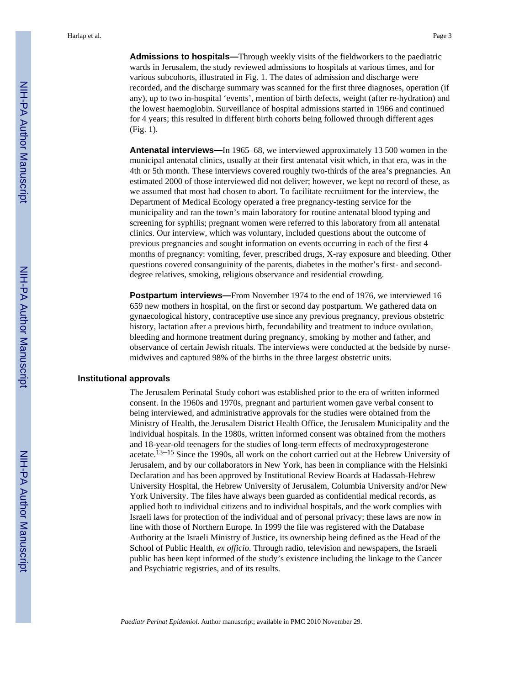**Admissions to hospitals—**Through weekly visits of the fieldworkers to the paediatric wards in Jerusalem, the study reviewed admissions to hospitals at various times, and for various subcohorts, illustrated in Fig. 1. The dates of admission and discharge were recorded, and the discharge summary was scanned for the first three diagnoses, operation (if any), up to two in-hospital 'events', mention of birth defects, weight (after re-hydration) and the lowest haemoglobin. Surveillance of hospital admissions started in 1966 and continued for 4 years; this resulted in different birth cohorts being followed through different ages (Fig. 1).

**Antenatal interviews—**In 1965–68, we interviewed approximately 13 500 women in the municipal antenatal clinics, usually at their first antenatal visit which, in that era, was in the 4th or 5th month. These interviews covered roughly two-thirds of the area's pregnancies. An estimated 2000 of those interviewed did not deliver; however, we kept no record of these, as we assumed that most had chosen to abort. To facilitate recruitment for the interview, the Department of Medical Ecology operated a free pregnancy-testing service for the municipality and ran the town's main laboratory for routine antenatal blood typing and screening for syphilis; pregnant women were referred to this laboratory from all antenatal clinics. Our interview, which was voluntary, included questions about the outcome of previous pregnancies and sought information on events occurring in each of the first 4 months of pregnancy: vomiting, fever, prescribed drugs, X-ray exposure and bleeding. Other questions covered consanguinity of the parents, diabetes in the mother's first- and seconddegree relatives, smoking, religious observance and residential crowding.

**Postpartum interviews—**From November 1974 to the end of 1976, we interviewed 16 659 new mothers in hospital, on the first or second day postpartum. We gathered data on gynaecological history, contraceptive use since any previous pregnancy, previous obstetric history, lactation after a previous birth, fecundability and treatment to induce ovulation, bleeding and hormone treatment during pregnancy, smoking by mother and father, and observance of certain Jewish rituals. The interviews were conducted at the bedside by nursemidwives and captured 98% of the births in the three largest obstetric units.

#### **Institutional approvals**

The Jerusalem Perinatal Study cohort was established prior to the era of written informed consent. In the 1960s and 1970s, pregnant and parturient women gave verbal consent to being interviewed, and administrative approvals for the studies were obtained from the Ministry of Health, the Jerusalem District Health Office, the Jerusalem Municipality and the individual hospitals. In the 1980s, written informed consent was obtained from the mothers and 18-year-old teenagers for the studies of long-term effects of medroxyprogesterone acetate.<sup>13–15</sup> Since the 1990s, all work on the cohort carried out at the Hebrew University of Jerusalem, and by our collaborators in New York, has been in compliance with the Helsinki Declaration and has been approved by Institutional Review Boards at Hadassah-Hebrew University Hospital, the Hebrew University of Jerusalem, Columbia University and/or New York University. The files have always been guarded as confidential medical records, as applied both to individual citizens and to individual hospitals, and the work complies with Israeli laws for protection of the individual and of personal privacy; these laws are now in line with those of Northern Europe. In 1999 the file was registered with the Database Authority at the Israeli Ministry of Justice, its ownership being defined as the Head of the School of Public Health, *ex officio*. Through radio, television and newspapers, the Israeli public has been kept informed of the study's existence including the linkage to the Cancer and Psychiatric registries, and of its results.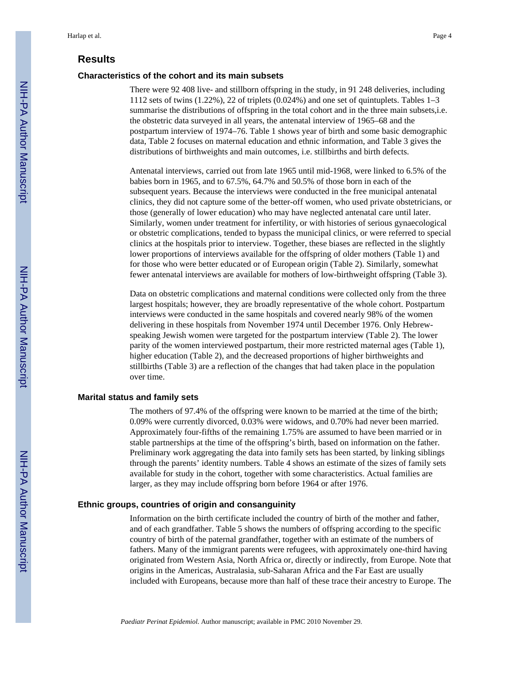# **Results**

#### **Characteristics of the cohort and its main subsets**

There were 92 408 live- and stillborn offspring in the study, in 91 248 deliveries, including 1112 sets of twins (1.22%), 22 of triplets (0.024%) and one set of quintuplets. Tables 1–3 summarise the distributions of offspring in the total cohort and in the three main subsets,i.e. the obstetric data surveyed in all years, the antenatal interview of 1965–68 and the postpartum interview of 1974–76. Table 1 shows year of birth and some basic demographic data, Table 2 focuses on maternal education and ethnic information, and Table 3 gives the distributions of birthweights and main outcomes, i.e. stillbirths and birth defects.

Antenatal interviews, carried out from late 1965 until mid-1968, were linked to 6.5% of the babies born in 1965, and to 67.5%, 64.7% and 50.5% of those born in each of the subsequent years. Because the interviews were conducted in the free municipal antenatal clinics, they did not capture some of the better-off women, who used private obstetricians, or those (generally of lower education) who may have neglected antenatal care until later. Similarly, women under treatment for infertility, or with histories of serious gynaecological or obstetric complications, tended to bypass the municipal clinics, or were referred to special clinics at the hospitals prior to interview. Together, these biases are reflected in the slightly lower proportions of interviews available for the offspring of older mothers (Table 1) and for those who were better educated or of European origin (Table 2). Similarly, somewhat fewer antenatal interviews are available for mothers of low-birthweight offspring (Table 3).

Data on obstetric complications and maternal conditions were collected only from the three largest hospitals; however, they are broadly representative of the whole cohort. Postpartum interviews were conducted in the same hospitals and covered nearly 98% of the women delivering in these hospitals from November 1974 until December 1976. Only Hebrewspeaking Jewish women were targeted for the postpartum interview (Table 2). The lower parity of the women interviewed postpartum, their more restricted maternal ages (Table 1), higher education (Table 2), and the decreased proportions of higher birthweights and stillbirths (Table 3) are a reflection of the changes that had taken place in the population over time.

#### **Marital status and family sets**

The mothers of 97.4% of the offspring were known to be married at the time of the birth; 0.09% were currently divorced, 0.03% were widows, and 0.70% had never been married. Approximately four-fifths of the remaining 1.75% are assumed to have been married or in stable partnerships at the time of the offspring's birth, based on information on the father. Preliminary work aggregating the data into family sets has been started, by linking siblings through the parents' identity numbers. Table 4 shows an estimate of the sizes of family sets available for study in the cohort, together with some characteristics. Actual families are larger, as they may include offspring born before 1964 or after 1976.

#### **Ethnic groups, countries of origin and consanguinity**

Information on the birth certificate included the country of birth of the mother and father, and of each grandfather. Table 5 shows the numbers of offspring according to the specific country of birth of the paternal grandfather, together with an estimate of the numbers of fathers. Many of the immigrant parents were refugees, with approximately one-third having originated from Western Asia, North Africa or, directly or indirectly, from Europe. Note that origins in the Americas, Australasia, sub-Saharan Africa and the Far East are usually included with Europeans, because more than half of these trace their ancestry to Europe. The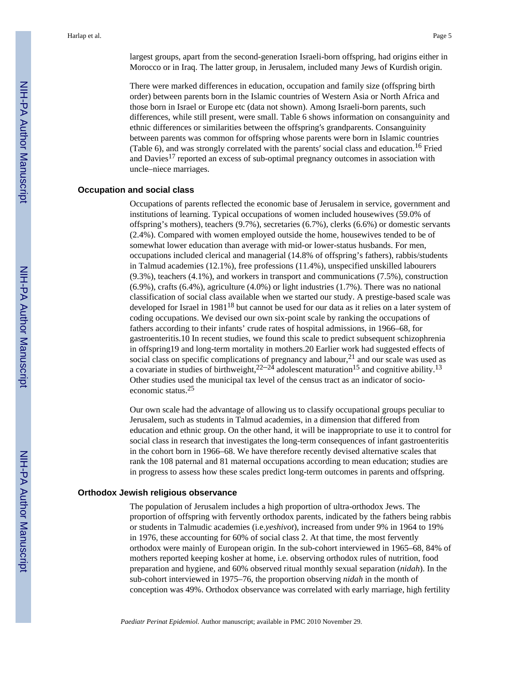largest groups, apart from the second-generation Israeli-born offspring, had origins either in Morocco or in Iraq. The latter group, in Jerusalem, included many Jews of Kurdish origin.

There were marked differences in education, occupation and family size (offspring birth order) between parents born in the Islamic countries of Western Asia or North Africa and those born in Israel or Europe etc (data not shown). Among Israeli-born parents, such differences, while still present, were small. Table 6 shows information on consanguinity and ethnic differences or similarities between the offspring′s grandparents. Consanguinity between parents was common for offspring whose parents were born in Islamic countries (Table 6), and was strongly correlated with the parents′ social class and education.16 Fried and Davies17 reported an excess of sub-optimal pregnancy outcomes in association with uncle–niece marriages.

#### **Occupation and social class**

Occupations of parents reflected the economic base of Jerusalem in service, government and institutions of learning. Typical occupations of women included housewives (59.0% of offspring's mothers), teachers (9.7%), secretaries (6.7%), clerks (6.6%) or domestic servants (2.4%). Compared with women employed outside the home, housewives tended to be of somewhat lower education than average with mid-or lower-status husbands. For men, occupations included clerical and managerial (14.8% of offspring's fathers), rabbis/students in Talmud academies (12.1%), free professions (11.4%), unspecified unskilled labourers (9.3%), teachers (4.1%), and workers in transport and communications (7.5%), construction (6.9%), crafts (6.4%), agriculture (4.0%) or light industries (1.7%). There was no national classification of social class available when we started our study. A prestige-based scale was developed for Israel in 1981<sup>18</sup> but cannot be used for our data as it relies on a later system of coding occupations. We devised our own six-point scale by ranking the occupations of fathers according to their infants' crude rates of hospital admissions, in 1966–68, for gastroenteritis.10 In recent studies, we found this scale to predict subsequent schizophrenia in offspring19 and long-term mortality in mothers.20 Earlier work had suggested effects of social class on specific complications of pregnancy and labour,<sup>21</sup> and our scale was used as a covariate in studies of birthweight,<sup>22–24</sup> adolescent maturation<sup>15</sup> and cognitive ability.<sup>13</sup> Other studies used the municipal tax level of the census tract as an indicator of socioeconomic status.<sup>25</sup>

Our own scale had the advantage of allowing us to classify occupational groups peculiar to Jerusalem, such as students in Talmud academies, in a dimension that differed from education and ethnic group. On the other hand, it will be inappropriate to use it to control for social class in research that investigates the long-term consequences of infant gastroenteritis in the cohort born in 1966–68. We have therefore recently devised alternative scales that rank the 108 paternal and 81 maternal occupations according to mean education; studies are in progress to assess how these scales predict long-term outcomes in parents and offspring.

#### **Orthodox Jewish religious observance**

The population of Jerusalem includes a high proportion of ultra-orthodox Jews. The proportion of offspring with fervently orthodox parents, indicated by the fathers being rabbis or students in Talmudic academies (i.e.*yeshivot*), increased from under 9% in 1964 to 19% in 1976, these accounting for 60% of social class 2. At that time, the most fervently orthodox were mainly of European origin. In the sub-cohort interviewed in 1965–68, 84% of mothers reported keeping kosher at home, i.e. observing orthodox rules of nutrition, food preparation and hygiene, and 60% observed ritual monthly sexual separation (*nidah*). In the sub-cohort interviewed in 1975–76, the proportion observing *nidah* in the month of conception was 49%. Orthodox observance was correlated with early marriage, high fertility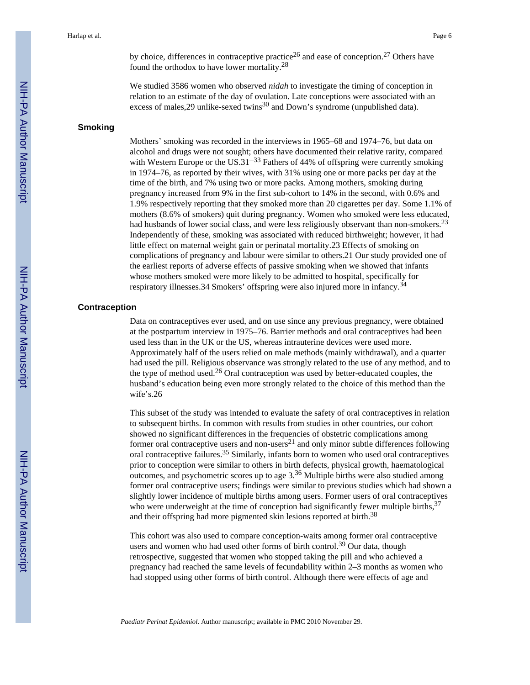Harlap et al. Page 6

by choice, differences in contraceptive practice<sup>26</sup> and ease of conception.<sup>27</sup> Others have found the orthodox to have lower mortality.<sup>28</sup>

We studied 3586 women who observed *nidah* to investigate the timing of conception in relation to an estimate of the day of ovulation. Late conceptions were associated with an excess of males,  $29$  unlike-sexed twins<sup>30</sup> and Down's syndrome (unpublished data).

## **Smoking**

Mothers' smoking was recorded in the interviews in 1965–68 and 1974–76, but data on alcohol and drugs were not sought; others have documented their relative rarity, compared with Western Europe or the US.31<sup> $-33$ </sup> Fathers of 44% of offspring were currently smoking in 1974–76, as reported by their wives, with 31% using one or more packs per day at the time of the birth, and 7% using two or more packs. Among mothers, smoking during pregnancy increased from 9% in the first sub-cohort to 14% in the second, with 0.6% and 1.9% respectively reporting that they smoked more than 20 cigarettes per day. Some 1.1% of mothers (8.6% of smokers) quit during pregnancy. Women who smoked were less educated, had husbands of lower social class, and were less religiously observant than non-smokers.<sup>23</sup> Independently of these, smoking was associated with reduced birthweight; however, it had little effect on maternal weight gain or perinatal mortality.23 Effects of smoking on complications of pregnancy and labour were similar to others.21 Our study provided one of the earliest reports of adverse effects of passive smoking when we showed that infants whose mothers smoked were more likely to be admitted to hospital, specifically for respiratory illnesses.34 Smokers' offspring were also injured more in infancy.<sup>34</sup>

#### **Contraception**

Data on contraceptives ever used, and on use since any previous pregnancy, were obtained at the postpartum interview in 1975–76. Barrier methods and oral contraceptives had been used less than in the UK or the US, whereas intrauterine devices were used more. Approximately half of the users relied on male methods (mainly withdrawal), and a quarter had used the pill. Religious observance was strongly related to the use of any method, and to the type of method used.<sup>26</sup> Oral contraception was used by better-educated couples, the husband's education being even more strongly related to the choice of this method than the wife's.26

This subset of the study was intended to evaluate the safety of oral contraceptives in relation to subsequent births. In common with results from studies in other countries, our cohort showed no significant differences in the frequencies of obstetric complications among former oral contraceptive users and non-users<sup>21</sup> and only minor subtle differences following oral contraceptive failures.35 Similarly, infants born to women who used oral contraceptives prior to conception were similar to others in birth defects, physical growth, haematological outcomes, and psychometric scores up to age  $3.36$  Multiple births were also studied among former oral contraceptive users; findings were similar to previous studies which had shown a slightly lower incidence of multiple births among users. Former users of oral contraceptives who were underweight at the time of conception had significantly fewer multiple births,  $37$ and their offspring had more pigmented skin lesions reported at birth.<sup>38</sup>

This cohort was also used to compare conception-waits among former oral contraceptive users and women who had used other forms of birth control.<sup>39</sup> Our data, though retrospective, suggested that women who stopped taking the pill and who achieved a pregnancy had reached the same levels of fecundability within 2–3 months as women who had stopped using other forms of birth control. Although there were effects of age and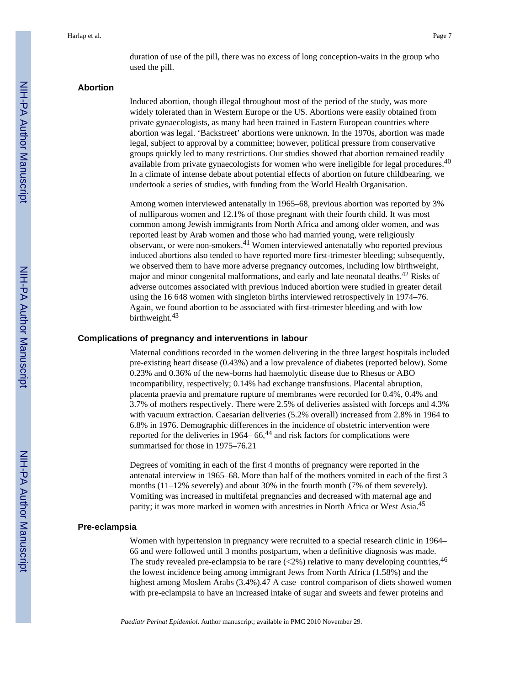duration of use of the pill, there was no excess of long conception-waits in the group who used the pill.

#### **Abortion**

Induced abortion, though illegal throughout most of the period of the study, was more widely tolerated than in Western Europe or the US. Abortions were easily obtained from private gynaecologists, as many had been trained in Eastern European countries where abortion was legal. 'Backstreet' abortions were unknown. In the 1970s, abortion was made legal, subject to approval by a committee; however, political pressure from conservative groups quickly led to many restrictions. Our studies showed that abortion remained readily available from private gynaecologists for women who were ineligible for legal procedures.<sup>40</sup> In a climate of intense debate about potential effects of abortion on future childbearing, we undertook a series of studies, with funding from the World Health Organisation.

Among women interviewed antenatally in 1965–68, previous abortion was reported by 3% of nulliparous women and 12.1% of those pregnant with their fourth child. It was most common among Jewish immigrants from North Africa and among older women, and was reported least by Arab women and those who had married young, were religiously observant, or were non-smokers.41 Women interviewed antenatally who reported previous induced abortions also tended to have reported more first-trimester bleeding; subsequently, we observed them to have more adverse pregnancy outcomes, including low birthweight, major and minor congenital malformations, and early and late neonatal deaths.<sup>42</sup> Risks of adverse outcomes associated with previous induced abortion were studied in greater detail using the 16 648 women with singleton births interviewed retrospectively in 1974–76. Again, we found abortion to be associated with first-trimester bleeding and with low birthweight.<sup>43</sup>

#### **Complications of pregnancy and interventions in labour**

Maternal conditions recorded in the women delivering in the three largest hospitals included pre-existing heart disease (0.43%) and a low prevalence of diabetes (reported below). Some 0.23% and 0.36% of the new-borns had haemolytic disease due to Rhesus or ABO incompatibility, respectively; 0.14% had exchange transfusions. Placental abruption, placenta praevia and premature rupture of membranes were recorded for 0.4%, 0.4% and 3.7% of mothers respectively. There were 2.5% of deliveries assisted with forceps and 4.3% with vacuum extraction. Caesarian deliveries (5.2% overall) increased from 2.8% in 1964 to 6.8% in 1976. Demographic differences in the incidence of obstetric intervention were reported for the deliveries in 1964–  $66<sup>44</sup>$  and risk factors for complications were summarised for those in 1975–76.21

Degrees of vomiting in each of the first 4 months of pregnancy were reported in the antenatal interview in 1965–68. More than half of the mothers vomited in each of the first 3 months (11–12% severely) and about 30% in the fourth month (7% of them severely). Vomiting was increased in multifetal pregnancies and decreased with maternal age and parity; it was more marked in women with ancestries in North Africa or West Asia.<sup>45</sup>

#### **Pre-eclampsia**

Women with hypertension in pregnancy were recruited to a special research clinic in 1964– 66 and were followed until 3 months postpartum, when a definitive diagnosis was made. The study revealed pre-eclampsia to be rare  $\langle 2\% \rangle$  relative to many developing countries, 46 the lowest incidence being among immigrant Jews from North Africa (1.58%) and the highest among Moslem Arabs (3.4%).47 A case–control comparison of diets showed women with pre-eclampsia to have an increased intake of sugar and sweets and fewer proteins and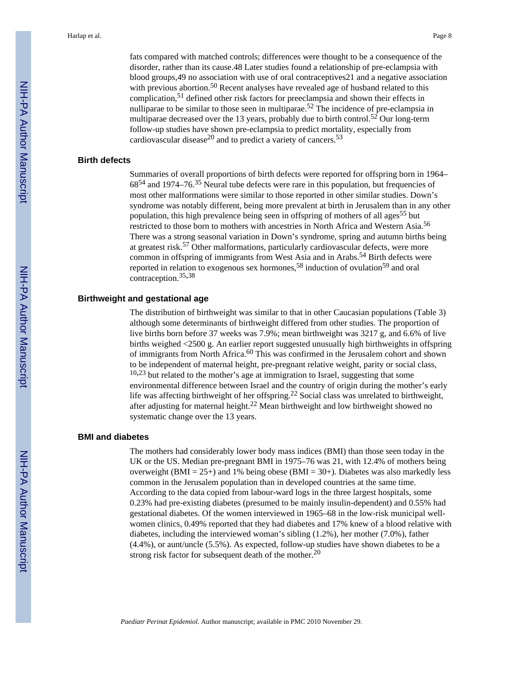fats compared with matched controls; differences were thought to be a consequence of the disorder, rather than its cause.48 Later studies found a relationship of pre-eclampsia with blood groups,49 no association with use of oral contraceptives21 and a negative association with previous abortion.<sup>50</sup> Recent analyses have revealed age of husband related to this complication,51 defined other risk factors for preeclampsia and shown their effects in nulliparae to be similar to those seen in multiparae.<sup>52</sup> The incidence of pre-eclampsia in multiparae decreased over the 13 years, probably due to birth control.<sup>52</sup> Our long-term follow-up studies have shown pre-eclampsia to predict mortality, especially from cardiovascular disease<sup>20</sup> and to predict a variety of cancers.<sup>53</sup>

#### **Birth defects**

Summaries of overall proportions of birth defects were reported for offspring born in 1964– 6854 and 1974–76.35 Neural tube defects were rare in this population, but frequencies of most other malformations were similar to those reported in other similar studies. Down's syndrome was notably different, being more prevalent at birth in Jerusalem than in any other population, this high prevalence being seen in offspring of mothers of all ages<sup>55</sup> but restricted to those born to mothers with ancestries in North Africa and Western Asia.<sup>56</sup> There was a strong seasonal variation in Down's syndrome, spring and autumn births being at greatest risk.57 Other malformations, particularly cardiovascular defects, were more common in offspring of immigrants from West Asia and in Arabs.<sup>54</sup> Birth defects were reported in relation to exogenous sex hormones,<sup>58</sup> induction of ovulation<sup>59</sup> and oral contraception.35,<sup>38</sup>

## **Birthweight and gestational age**

The distribution of birthweight was similar to that in other Caucasian populations (Table 3) although some determinants of birthweight differed from other studies. The proportion of live births born before 37 weeks was 7.9%; mean birthweight was 3217 g, and 6.6% of live births weighed <2500 g. An earlier report suggested unusually high birthweights in offspring of immigrants from North Africa.60 This was confirmed in the Jerusalem cohort and shown to be independent of maternal height, pre-pregnant relative weight, parity or social class,  $10,23$  but related to the mother's age at immigration to Israel, suggesting that some environmental difference between Israel and the country of origin during the mother's early life was affecting birthweight of her offspring.<sup>22</sup> Social class was unrelated to birthweight, after adjusting for maternal height.22 Mean birthweight and low birthweight showed no systematic change over the 13 years.

#### **BMI and diabetes**

The mothers had considerably lower body mass indices (BMI) than those seen today in the UK or the US. Median pre-pregnant BMI in 1975–76 was 21, with 12.4% of mothers being overweight (BMI = 25+) and 1% being obese (BMI = 30+). Diabetes was also markedly less common in the Jerusalem population than in developed countries at the same time. According to the data copied from labour-ward logs in the three largest hospitals, some 0.23% had pre-existing diabetes (presumed to be mainly insulin-dependent) and 0.55% had gestational diabetes. Of the women interviewed in 1965–68 in the low-risk municipal wellwomen clinics, 0.49% reported that they had diabetes and 17% knew of a blood relative with diabetes, including the interviewed woman's sibling (1.2%), her mother (7.0%), father (4.4%), or aunt/uncle (5.5%). As expected, follow-up studies have shown diabetes to be a strong risk factor for subsequent death of the mother.<sup>20</sup>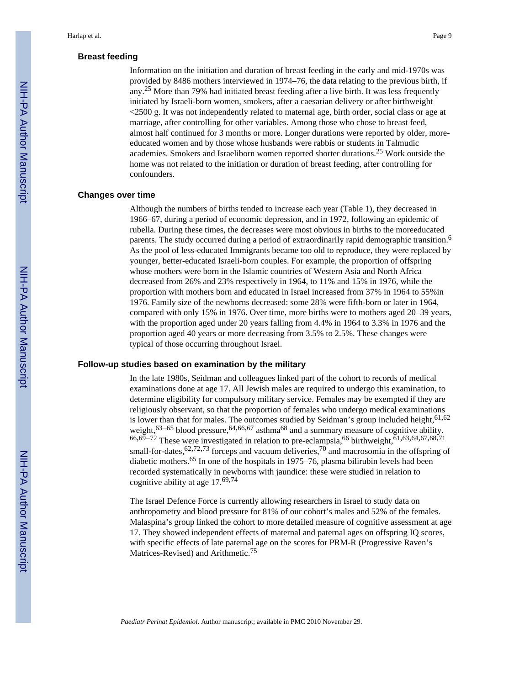# **Breast feeding**

Information on the initiation and duration of breast feeding in the early and mid-1970s was provided by 8486 mothers interviewed in 1974–76, the data relating to the previous birth, if any.<sup>25</sup> More than 79% had initiated breast feeding after a live birth. It was less frequently initiated by Israeli-born women, smokers, after a caesarian delivery or after birthweight <2500 g. It was not independently related to maternal age, birth order, social class or age at marriage, after controlling for other variables. Among those who chose to breast feed, almost half continued for 3 months or more. Longer durations were reported by older, moreeducated women and by those whose husbands were rabbis or students in Talmudic academies. Smokers and Israeliborn women reported shorter durations.25 Work outside the home was not related to the initiation or duration of breast feeding, after controlling for confounders.

#### **Changes over time**

Although the numbers of births tended to increase each year (Table 1), they decreased in 1966–67, during a period of economic depression, and in 1972, following an epidemic of rubella. During these times, the decreases were most obvious in births to the moreeducated parents. The study occurred during a period of extraordinarily rapid demographic transition.<sup>6</sup> As the pool of less-educated Immigrants became too old to reproduce, they were replaced by younger, better-educated Israeli-born couples. For example, the proportion of offspring whose mothers were born in the Islamic countries of Western Asia and North Africa decreased from 26% and 23% respectively in 1964, to 11% and 15% in 1976, while the proportion with mothers born and educated in Israel increased from 37% in 1964 to 55%in 1976. Family size of the newborns decreased: some 28% were fifth-born or later in 1964, compared with only 15% in 1976. Over time, more births were to mothers aged 20–39 years, with the proportion aged under 20 years falling from 4.4% in 1964 to 3.3% in 1976 and the proportion aged 40 years or more decreasing from 3.5% to 2.5%. These changes were typical of those occurring throughout Israel.

#### **Follow-up studies based on examination by the military**

In the late 1980s, Seidman and colleagues linked part of the cohort to records of medical examinations done at age 17. All Jewish males are required to undergo this examination, to determine eligibility for compulsory military service. Females may be exempted if they are religiously observant, so that the proportion of females who undergo medical examinations is lower than that for males. The outcomes studied by Seidman's group included height,  $61,62$ weight, $63-65$  blood pressure,  $64,66,67$  asthma<sup>68</sup> and a summary measure of cognitive ability.  $66,69-72$  These were investigated in relation to pre-eclampsia,  $66$  birthweight,  $61,63,64,67,68,71$ small-for-dates,  $62,72,73$  forceps and vacuum deliveries,  $70$  and macrosomia in the offspring of diabetic mothers.65 In one of the hospitals in 1975–76, plasma bilirubin levels had been recorded systematically in newborns with jaundice: these were studied in relation to cognitive ability at age 17.69,<sup>74</sup>

The Israel Defence Force is currently allowing researchers in Israel to study data on anthropometry and blood pressure for 81% of our cohort's males and 52% of the females. Malaspina's group linked the cohort to more detailed measure of cognitive assessment at age 17. They showed independent effects of maternal and paternal ages on offspring IQ scores, with specific effects of late paternal age on the scores for PRM-R (Progressive Raven's Matrices-Revised) and Arithmetic.<sup>75</sup>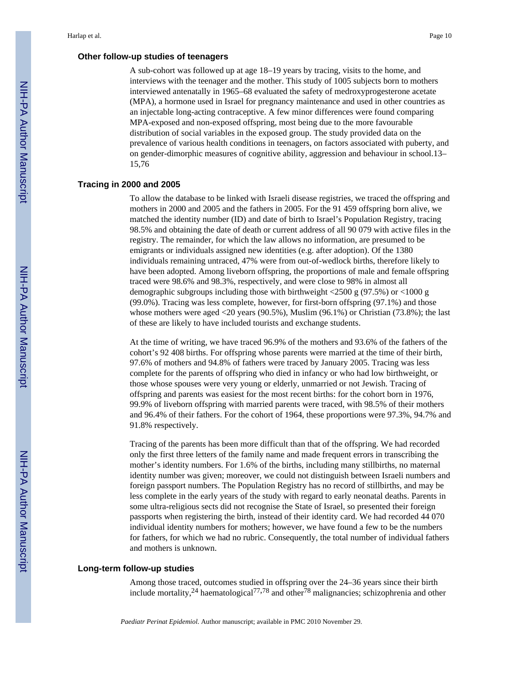A sub-cohort was followed up at age 18–19 years by tracing, visits to the home, and interviews with the teenager and the mother. This study of 1005 subjects born to mothers interviewed antenatally in 1965–68 evaluated the safety of medroxyprogesterone acetate (MPA), a hormone used in Israel for pregnancy maintenance and used in other countries as an injectable long-acting contraceptive. A few minor differences were found comparing MPA-exposed and non-exposed offspring, most being due to the more favourable distribution of social variables in the exposed group. The study provided data on the prevalence of various health conditions in teenagers, on factors associated with puberty, and on gender-dimorphic measures of cognitive ability, aggression and behaviour in school.13– 15,76

#### **Tracing in 2000 and 2005**

To allow the database to be linked with Israeli disease registries, we traced the offspring and mothers in 2000 and 2005 and the fathers in 2005. For the 91 459 offspring born alive, we matched the identity number (ID) and date of birth to Israel's Population Registry, tracing 98.5% and obtaining the date of death or current address of all 90 079 with active files in the registry. The remainder, for which the law allows no information, are presumed to be emigrants or individuals assigned new identities (e.g. after adoption). Of the 1380 individuals remaining untraced, 47% were from out-of-wedlock births, therefore likely to have been adopted. Among liveborn offspring, the proportions of male and female offspring traced were 98.6% and 98.3%, respectively, and were close to 98% in almost all demographic subgroups including those with birthweight  $\langle 2500 \text{ g } (97.5\%)$  or  $\langle 1000 \text{ g }$ (99.0%). Tracing was less complete, however, for first-born offspring (97.1%) and those whose mothers were aged  $\langle 20 \rangle$  years (90.5%), Muslim (96.1%) or Christian (73.8%); the last of these are likely to have included tourists and exchange students.

At the time of writing, we have traced 96.9% of the mothers and 93.6% of the fathers of the cohort's 92 408 births. For offspring whose parents were married at the time of their birth, 97.6% of mothers and 94.8% of fathers were traced by January 2005. Tracing was less complete for the parents of offspring who died in infancy or who had low birthweight, or those whose spouses were very young or elderly, unmarried or not Jewish. Tracing of offspring and parents was easiest for the most recent births: for the cohort born in 1976, 99.9% of liveborn offspring with married parents were traced, with 98.5% of their mothers and 96.4% of their fathers. For the cohort of 1964, these proportions were 97.3%, 94.7% and 91.8% respectively.

Tracing of the parents has been more difficult than that of the offspring. We had recorded only the first three letters of the family name and made frequent errors in transcribing the mother's identity numbers. For 1.6% of the births, including many stillbirths, no maternal identity number was given; moreover, we could not distinguish between Israeli numbers and foreign passport numbers. The Population Registry has no record of stillbirths, and may be less complete in the early years of the study with regard to early neonatal deaths. Parents in some ultra-religious sects did not recognise the State of Israel, so presented their foreign passports when registering the birth, instead of their identity card. We had recorded 44 070 individual identity numbers for mothers; however, we have found a few to be the numbers for fathers, for which we had no rubric. Consequently, the total number of individual fathers and mothers is unknown.

#### **Long-term follow-up studies**

Among those traced, outcomes studied in offspring over the 24–36 years since their birth include mortality,  $^{24}$  haematological<sup>77,78</sup> and other<sup>78</sup> malignancies; schizophrenia and other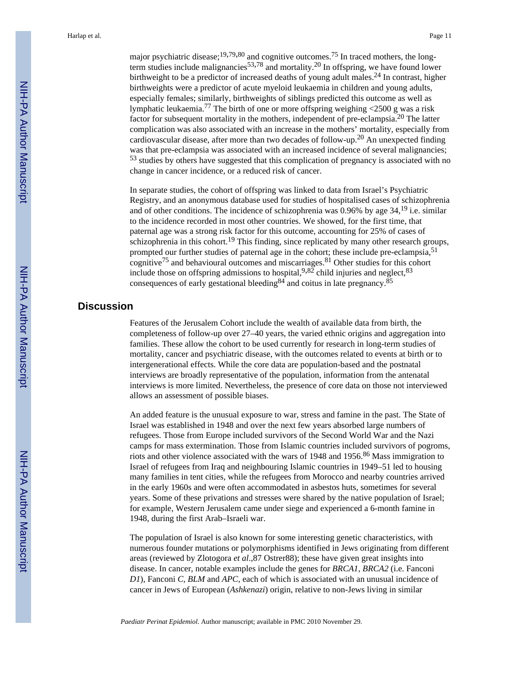major psychiatric disease;<sup>19,79,80</sup> and cognitive outcomes.<sup>75</sup> In traced mothers, the longterm studies include malignancies<sup>53,78</sup> and mortality.<sup>20</sup> In offspring, we have found lower birthweight to be a predictor of increased deaths of young adult males.<sup>24</sup> In contrast, higher birthweights were a predictor of acute myeloid leukaemia in children and young adults, especially females; similarly, birthweights of siblings predicted this outcome as well as lymphatic leukaemia.77 The birth of one or more offspring weighing <2500 g was a risk factor for subsequent mortality in the mothers, independent of pre-eclampsia.20 The latter complication was also associated with an increase in the mothers' mortality, especially from cardiovascular disease, after more than two decades of follow-up.20 An unexpected finding was that pre-eclampsia was associated with an increased incidence of several malignancies; <sup>53</sup> studies by others have suggested that this complication of pregnancy is associated with no change in cancer incidence, or a reduced risk of cancer.

In separate studies, the cohort of offspring was linked to data from Israel's Psychiatric Registry, and an anonymous database used for studies of hospitalised cases of schizophrenia and of other conditions. The incidence of schizophrenia was  $0.96\%$  by age  $34<sup>19</sup>$  i.e. similar to the incidence recorded in most other countries. We showed, for the first time, that paternal age was a strong risk factor for this outcome, accounting for 25% of cases of schizophrenia in this cohort.<sup>19</sup> This finding, since replicated by many other research groups, prompted our further studies of paternal age in the cohort; these include pre-eclampsia,<sup>51</sup> cognitive<sup>75</sup> and behavioural outcomes and miscarriages.<sup>81</sup> Other studies for this cohort include those on offspring admissions to hospital,  $9,82$  child injuries and neglect,  $83$ consequences of early gestational bleeding  $84$  and coitus in late pregnancy.  $85$ 

# **Discussion**

Features of the Jerusalem Cohort include the wealth of available data from birth, the completeness of follow-up over 27–40 years, the varied ethnic origins and aggregation into families. These allow the cohort to be used currently for research in long-term studies of mortality, cancer and psychiatric disease, with the outcomes related to events at birth or to intergenerational effects. While the core data are population-based and the postnatal interviews are broadly representative of the population, information from the antenatal interviews is more limited. Nevertheless, the presence of core data on those not interviewed allows an assessment of possible biases.

An added feature is the unusual exposure to war, stress and famine in the past. The State of Israel was established in 1948 and over the next few years absorbed large numbers of refugees. Those from Europe included survivors of the Second World War and the Nazi camps for mass extermination. Those from Islamic countries included survivors of pogroms, riots and other violence associated with the wars of 1948 and 1956.<sup>86</sup> Mass immigration to Israel of refugees from Iraq and neighbouring Islamic countries in 1949–51 led to housing many families in tent cities, while the refugees from Morocco and nearby countries arrived in the early 1960s and were often accommodated in asbestos huts, sometimes for several years. Some of these privations and stresses were shared by the native population of Israel; for example, Western Jerusalem came under siege and experienced a 6-month famine in 1948, during the first Arab–Israeli war.

The population of Israel is also known for some interesting genetic characteristics, with numerous founder mutations or polymorphisms identified in Jews originating from different areas (reviewed by Zlotogora *et al*.,87 Ostrer88); these have given great insights into disease. In cancer, notable examples include the genes for *BRCA1, BRCA2* (i.e. Fanconi *D1*), Fanconi *C, BLM* and *APC*, each of which is associated with an unusual incidence of cancer in Jews of European (*Ashkenazi*) origin, relative to non-Jews living in similar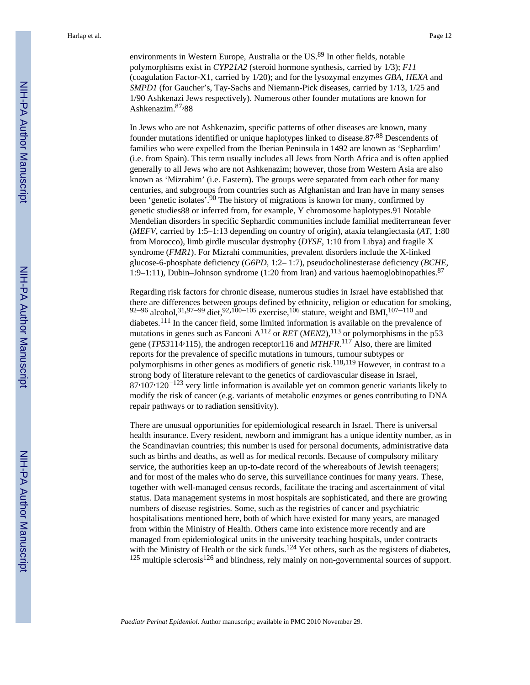environments in Western Europe, Australia or the US.<sup>89</sup> In other fields, notable polymorphisms exist in *CYP21A2* (steroid hormone synthesis, carried by 1/3); *F11* (coagulation Factor-X1, carried by 1/20); and for the lysozymal enzymes *GBA, HEXA* and *SMPD1* (for Gaucher's, Tay-Sachs and Niemann-Pick diseases, carried by 1/13, 1/25 and 1/90 Ashkenazi Jews respectively). Numerous other founder mutations are known for Ashkenazim.<sup>87</sup>,88

In Jews who are not Ashkenazim, specific patterns of other diseases are known, many founder mutations identified or unique haplotypes linked to disease.87,<sup>88</sup> Descendents of families who were expelled from the Iberian Peninsula in 1492 are known as 'Sephardim' (i.e. from Spain). This term usually includes all Jews from North Africa and is often applied generally to all Jews who are not Ashkenazim; however, those from Western Asia are also known as 'Mizrahim' (i.e. Eastern). The groups were separated from each other for many centuries, and subgroups from countries such as Afghanistan and Iran have in many senses been 'genetic isolates'.90 The history of migrations is known for many, confirmed by genetic studies88 or inferred from, for example, Y chromosome haplotypes.91 Notable Mendelian disorders in specific Sephardic communities include familial mediterranean fever (*MEFV*, carried by 1:5–1:13 depending on country of origin), ataxia telangiectasia (*AT*, 1:80 from Morocco), limb girdle muscular dystrophy (*DYSF*, 1:10 from Libya) and fragile X syndrome (*FMR1*). For Mizrahi communities, prevalent disorders include the X-linked glucose-6-phosphate deficiency (*G6PD*, 1:2– 1:7), pseudocholinesterase deficiency (*BCHE*, 1:9–1:11), Dubin–Johnson syndrome (1:20 from Iran) and various haemoglobinopathies.<sup>87</sup>

Regarding risk factors for chronic disease, numerous studies in Israel have established that there are differences between groups defined by ethnicity, religion or education for smoking, 92–96 alcohol,  $31,97$ –99 diet,  $92,100$ – $105$  exercise,  $106$  stature, weight and BMI,  $107$ – $110$  and diabetes.111 In the cancer field, some limited information is available on the prevalence of mutations in genes such as Fanconi  $A^{112}$  or *RET* (*MEN2*),<sup>113</sup> or polymorphisms in the p53 gene (*TP53*114,115), the androgen receptor116 and *MTHFR*.<sup>117</sup> Also, there are limited reports for the prevalence of specific mutations in tumours, tumour subtypes or polymorphisms in other genes as modifiers of genetic risk.<sup>118,119</sup> However, in contrast to a strong body of literature relevant to the genetics of cardiovascular disease in Israel,  $87.107.120^{-123}$  very little information is available yet on common genetic variants likely to modify the risk of cancer (e.g. variants of metabolic enzymes or genes contributing to DNA repair pathways or to radiation sensitivity).

There are unusual opportunities for epidemiological research in Israel. There is universal health insurance. Every resident, newborn and immigrant has a unique identity number, as in the Scandinavian countries; this number is used for personal documents, administrative data such as births and deaths, as well as for medical records. Because of compulsory military service, the authorities keep an up-to-date record of the whereabouts of Jewish teenagers; and for most of the males who do serve, this surveillance continues for many years. These, together with well-managed census records, facilitate the tracing and ascertainment of vital status. Data management systems in most hospitals are sophisticated, and there are growing numbers of disease registries. Some, such as the registries of cancer and psychiatric hospitalisations mentioned here, both of which have existed for many years, are managed from within the Ministry of Health. Others came into existence more recently and are managed from epidemiological units in the university teaching hospitals, under contracts with the Ministry of Health or the sick funds.<sup>124</sup> Yet others, such as the registers of diabetes,  $125$  multiple sclerosis<sup>126</sup> and blindness, rely mainly on non-governmental sources of support.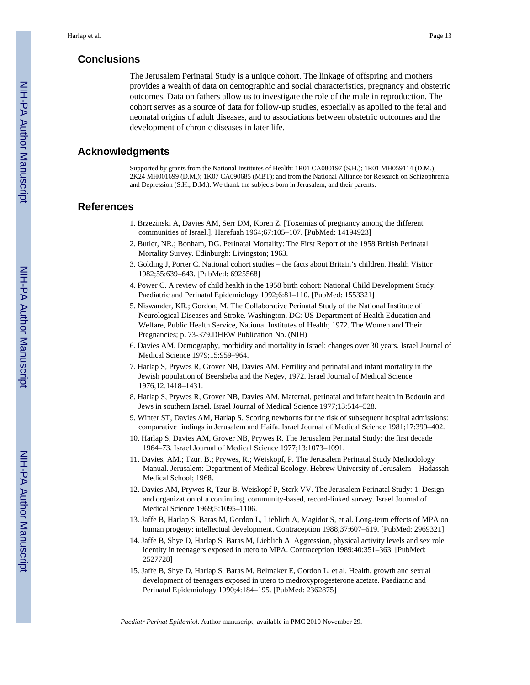# **Conclusions**

The Jerusalem Perinatal Study is a unique cohort. The linkage of offspring and mothers provides a wealth of data on demographic and social characteristics, pregnancy and obstetric outcomes. Data on fathers allow us to investigate the role of the male in reproduction. The cohort serves as a source of data for follow-up studies, especially as applied to the fetal and neonatal origins of adult diseases, and to associations between obstetric outcomes and the development of chronic diseases in later life.

# **Acknowledgments**

Supported by grants from the National Institutes of Health: 1R01 CA080197 (S.H.); 1R01 MH059114 (D.M.); 2K24 MH001699 (D.M.); 1K07 CA090685 (MBT); and from the National Alliance for Research on Schizophrenia and Depression (S.H., D.M.). We thank the subjects born in Jerusalem, and their parents.

# **References**

- 1. Brzezinski A, Davies AM, Serr DM, Koren Z. [Toxemias of pregnancy among the different communities of Israel.]. Harefuah 1964;67:105–107. [PubMed: 14194923]
- 2. Butler, NR.; Bonham, DG. Perinatal Mortality: The First Report of the 1958 British Perinatal Mortality Survey. Edinburgh: Livingston; 1963.
- 3. Golding J, Porter C. National cohort studies the facts about Britain's children. Health Visitor 1982;55:639–643. [PubMed: 6925568]
- 4. Power C. A review of child health in the 1958 birth cohort: National Child Development Study. Paediatric and Perinatal Epidemiology 1992;6:81–110. [PubMed: 1553321]
- 5. Niswander, KR.; Gordon, M. The Collaborative Perinatal Study of the National Institute of Neurological Diseases and Stroke. Washington, DC: US Department of Health Education and Welfare, Public Health Service, National Institutes of Health; 1972. The Women and Their Pregnancies; p. 73-379.DHEW Publication No. (NIH)
- 6. Davies AM. Demography, morbidity and mortality in Israel: changes over 30 years. Israel Journal of Medical Science 1979;15:959–964.
- 7. Harlap S, Prywes R, Grover NB, Davies AM. Fertility and perinatal and infant mortality in the Jewish population of Beersheba and the Negev, 1972. Israel Journal of Medical Science 1976;12:1418–1431.
- 8. Harlap S, Prywes R, Grover NB, Davies AM. Maternal, perinatal and infant health in Bedouin and Jews in southern Israel. Israel Journal of Medical Science 1977;13:514–528.
- 9. Winter ST, Davies AM, Harlap S. Scoring newborns for the risk of subsequent hospital admissions: comparative findings in Jerusalem and Haifa. Israel Journal of Medical Science 1981;17:399–402.
- 10. Harlap S, Davies AM, Grover NB, Prywes R. The Jerusalem Perinatal Study: the first decade 1964–73. Israel Journal of Medical Science 1977;13:1073–1091.
- 11. Davies, AM.; Tzur, B.; Prywes, R.; Weiskopf, P. The Jerusalem Perinatal Study Methodology Manual. Jerusalem: Department of Medical Ecology, Hebrew University of Jerusalem – Hadassah Medical School; 1968.
- 12. Davies AM, Prywes R, Tzur B, Weiskopf P, Sterk VV. The Jerusalem Perinatal Study: 1. Design and organization of a continuing, community-based, record-linked survey. Israel Journal of Medical Science 1969;5:1095–1106.
- 13. Jaffe B, Harlap S, Baras M, Gordon L, Lieblich A, Magidor S, et al. Long-term effects of MPA on human progeny: intellectual development. Contraception 1988;37:607–619. [PubMed: 2969321]
- 14. Jaffe B, Shye D, Harlap S, Baras M, Lieblich A. Aggression, physical activity levels and sex role identity in teenagers exposed in utero to MPA. Contraception 1989;40:351–363. [PubMed: 2527728]
- 15. Jaffe B, Shye D, Harlap S, Baras M, Belmaker E, Gordon L, et al. Health, growth and sexual development of teenagers exposed in utero to medroxyprogesterone acetate. Paediatric and Perinatal Epidemiology 1990;4:184–195. [PubMed: 2362875]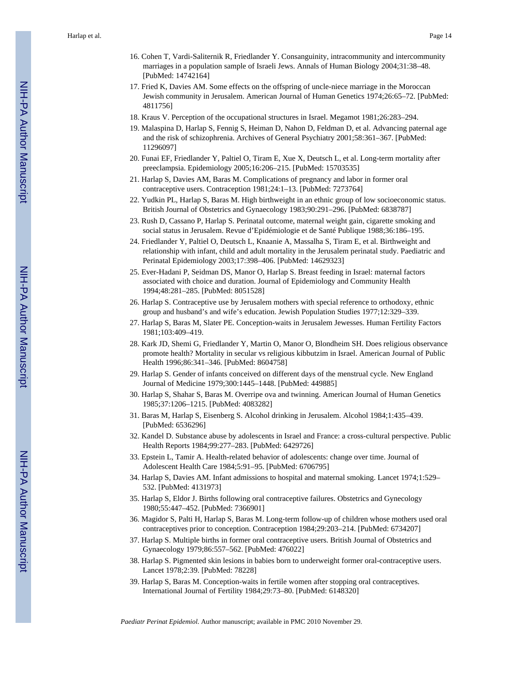- 16. Cohen T, Vardi-Saliternik R, Friedlander Y. Consanguinity, intracommunity and intercommunity marriages in a population sample of Israeli Jews. Annals of Human Biology 2004;31:38–48. [PubMed: 14742164]
- 17. Fried K, Davies AM. Some effects on the offspring of uncle-niece marriage in the Moroccan Jewish community in Jerusalem. American Journal of Human Genetics 1974;26:65–72. [PubMed: 4811756]
- 18. Kraus V. Perception of the occupational structures in Israel. Megamot 1981;26:283–294.
- 19. Malaspina D, Harlap S, Fennig S, Heiman D, Nahon D, Feldman D, et al. Advancing paternal age and the risk of schizophrenia. Archives of General Psychiatry 2001;58:361–367. [PubMed: 11296097]
- 20. Funai EF, Friedlander Y, Paltiel O, Tiram E, Xue X, Deutsch L, et al. Long-term mortality after preeclampsia. Epidemiology 2005;16:206–215. [PubMed: 15703535]
- 21. Harlap S, Davies AM, Baras M. Complications of pregnancy and labor in former oral contraceptive users. Contraception 1981;24:1–13. [PubMed: 7273764]
- 22. Yudkin PL, Harlap S, Baras M. High birthweight in an ethnic group of low socioeconomic status. British Journal of Obstetrics and Gynaecology 1983;90:291–296. [PubMed: 6838787]
- 23. Rush D, Cassano P, Harlap S. Perinatal outcome, maternal weight gain, cigarette smoking and social status in Jerusalem. Revue d'Epidémiologie et de Santé Publique 1988;36:186–195.
- 24. Friedlander Y, Paltiel O, Deutsch L, Knaanie A, Massalha S, Tiram E, et al. Birthweight and relationship with infant, child and adult mortality in the Jerusalem perinatal study. Paediatric and Perinatal Epidemiology 2003;17:398–406. [PubMed: 14629323]
- 25. Ever-Hadani P, Seidman DS, Manor O, Harlap S. Breast feeding in Israel: maternal factors associated with choice and duration. Journal of Epidemiology and Community Health 1994;48:281–285. [PubMed: 8051528]
- 26. Harlap S. Contraceptive use by Jerusalem mothers with special reference to orthodoxy, ethnic group and husband's and wife's education. Jewish Population Studies 1977;12:329–339.
- 27. Harlap S, Baras M, Slater PE. Conception-waits in Jerusalem Jewesses. Human Fertility Factors 1981;103:409–419.
- 28. Kark JD, Shemi G, Friedlander Y, Martin O, Manor O, Blondheim SH. Does religious observance promote health? Mortality in secular vs religious kibbutzim in Israel. American Journal of Public Health 1996;86:341–346. [PubMed: 8604758]
- 29. Harlap S. Gender of infants conceived on different days of the menstrual cycle. New England Journal of Medicine 1979;300:1445–1448. [PubMed: 449885]
- 30. Harlap S, Shahar S, Baras M. Overripe ova and twinning. American Journal of Human Genetics 1985;37:1206–1215. [PubMed: 4083282]
- 31. Baras M, Harlap S, Eisenberg S. Alcohol drinking in Jerusalem. Alcohol 1984;1:435–439. [PubMed: 6536296]
- 32. Kandel D. Substance abuse by adolescents in Israel and France: a cross-cultural perspective. Public Health Reports 1984;99:277–283. [PubMed: 6429726]
- 33. Epstein L, Tamir A. Health-related behavior of adolescents: change over time. Journal of Adolescent Health Care 1984;5:91–95. [PubMed: 6706795]
- 34. Harlap S, Davies AM. Infant admissions to hospital and maternal smoking. Lancet 1974;1:529– 532. [PubMed: 4131973]
- 35. Harlap S, Eldor J. Births following oral contraceptive failures. Obstetrics and Gynecology 1980;55:447–452. [PubMed: 7366901]
- 36. Magidor S, Palti H, Harlap S, Baras M. Long-term follow-up of children whose mothers used oral contraceptives prior to conception. Contraception 1984;29:203–214. [PubMed: 6734207]
- 37. Harlap S. Multiple births in former oral contraceptive users. British Journal of Obstetrics and Gynaecology 1979;86:557–562. [PubMed: 476022]
- 38. Harlap S. Pigmented skin lesions in babies born to underweight former oral-contraceptive users. Lancet 1978;2:39. [PubMed: 78228]
- 39. Harlap S, Baras M. Conception-waits in fertile women after stopping oral contraceptives. International Journal of Fertility 1984;29:73–80. [PubMed: 6148320]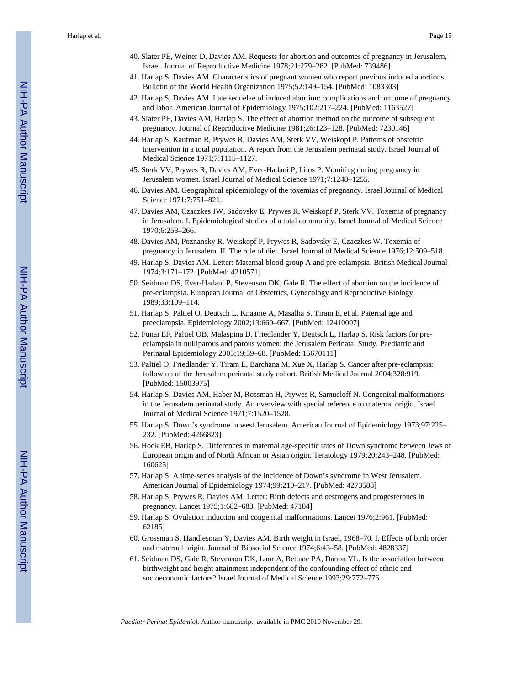Harlap et al. Page 15

- 40. Slater PE, Weiner D, Davies AM. Requests for abortion and outcomes of pregnancy in Jerusalem, Israel. Journal of Reproductive Medicine 1978;21:279–282. [PubMed: 739486]
- 41. Harlap S, Davies AM. Characteristics of pregnant women who report previous induced abortions. Bulletin of the World Health Organization 1975;52:149–154. [PubMed: 1083303]
- 42. Harlap S, Davies AM. Late sequelae of induced abortion: complications and outcome of pregnancy and labor. American Journal of Epidemiology 1975;102:217–224. [PubMed: 1163527]
- 43. Slater PE, Davies AM, Harlap S. The effect of abortion method on the outcome of subsequent pregnancy. Journal of Reproductive Medicine 1981;26:123–128. [PubMed: 7230146]
- 44. Harlap S, Kaufman R, Prywes R, Davies AM, Sterk VV, Weiskopf P. Patterns of obstetric intervention in a total population. A report from the Jerusalem perinatal study. Israel Journal of Medical Science 1971;7:1115–1127.
- 45. Sterk VV, Prywes R, Davies AM, Ever-Hadani P, Lilos P. Vomiting during pregnancy in Jerusalem women. Israel Journal of Medical Science 1971;7:1248–1255.
- 46. Davies AM. Geographical epidemiology of the toxemias of pregnancy. Israel Journal of Medical Science 1971;7:751–821.
- 47. Davies AM, Czaczkes JW, Sadovsky E, Prywes R, Weiskopf P, Sterk VV. Toxemia of pregnancy in Jerusalem. I. Epidemiological studies of a total community. Israel Journal of Medical Science 1970;6:253–266.
- 48. Davies AM, Poznansky R, Weiskopf P, Prywes R, Sadovsky E, Czaczkes W. Toxemia of pregnancy in Jerusalem. II. The role of diet. Israel Journal of Medical Science 1976;12:509–518.
- 49. Harlap S, Davies AM. Letter: Maternal blood group A and pre-eclampsia. British Medical Journal 1974;3:171–172. [PubMed: 4210571]
- 50. Seidman DS, Ever-Hadani P, Stevenson DK, Gale R. The effect of abortion on the incidence of pre-eclampsia. European Journal of Obstetrics, Gynecology and Reproductive Biology 1989;33:109–114.
- 51. Harlap S, Paltiel O, Deutsch L, Knaanie A, Masalha S, Tiram E, et al. Paternal age and preeclampsia. Epidemiology 2002;13:660–667. [PubMed: 12410007]
- 52. Funai EF, Paltiel OB, Malaspina D, Friedlander Y, Deutsch L, Harlap S. Risk factors for preeclampsia in nulliparous and parous women: the Jerusalem Perinatal Study. Paediatric and Perinatal Epidemiology 2005;19:59–68. [PubMed: 15670111]
- 53. Paltiel O, Friedlander Y, Tiram E, Barchana M, Xue X, Harlap S. Cancer after pre-eclampsia: follow up of the Jerusalem perinatal study cohort. British Medical Journal 2004;328:919. [PubMed: 15003975]
- 54. Harlap S, Davies AM, Haber M, Rossman H, Prywes R, Samueloff N. Congenital malformations in the Jerusalem perinatal study. An overview with special reference to maternal origin. Israel Journal of Medical Science 1971;7:1520–1528.
- 55. Harlap S. Down's syndrome in west Jerusalem. American Journal of Epidemiology 1973;97:225– 232. [PubMed: 4266823]
- 56. Hook EB, Harlap S. Differences in maternal age-specific rates of Down syndrome between Jews of European origin and of North African or Asian origin. Teratology 1979;20:243–248. [PubMed: 160625]
- 57. Harlap S. A time-series analysis of the incidence of Down's syndrome in West Jerusalem. American Journal of Epidemiology 1974;99:210–217. [PubMed: 4273588]
- 58. Harlap S, Prywes R, Davies AM. Letter: Birth defects and oestrogens and progesterones in pregnancy. Lancet 1975;1:682–683. [PubMed: 47104]
- 59. Harlap S. Ovulation induction and congenital malformations. Lancet 1976;2:961. [PubMed: 62185]
- 60. Grossman S, Handlesman Y, Davies AM. Birth weight in Israel, 1968–70. I. Effects of birth order and maternal origin. Journal of Biosocial Science 1974;6:43–58. [PubMed: 4828337]
- 61. Seidman DS, Gale R, Stevenson DK, Laor A, Bettane PA, Danon YL. Is the association between birthweight and height attainment independent of the confounding effect of ethnic and socioeconomic factors? Israel Journal of Medical Science 1993;29:772–776.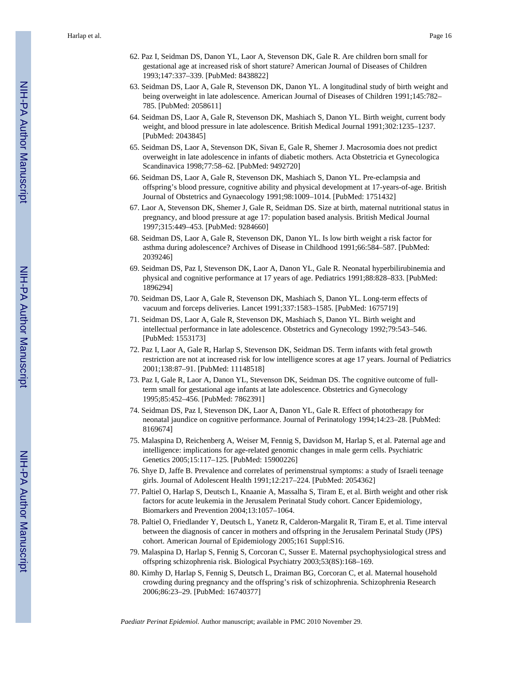- 62. Paz I, Seidman DS, Danon YL, Laor A, Stevenson DK, Gale R. Are children born small for gestational age at increased risk of short stature? American Journal of Diseases of Children 1993;147:337–339. [PubMed: 8438822]
- 63. Seidman DS, Laor A, Gale R, Stevenson DK, Danon YL. A longitudinal study of birth weight and being overweight in late adolescence. American Journal of Diseases of Children 1991;145:782– 785. [PubMed: 2058611]
- 64. Seidman DS, Laor A, Gale R, Stevenson DK, Mashiach S, Danon YL. Birth weight, current body weight, and blood pressure in late adolescence. British Medical Journal 1991;302:1235–1237. [PubMed: 2043845]
- 65. Seidman DS, Laor A, Stevenson DK, Sivan E, Gale R, Shemer J. Macrosomia does not predict overweight in late adolescence in infants of diabetic mothers. Acta Obstetricia et Gynecologica Scandinavica 1998;77:58–62. [PubMed: 9492720]
- 66. Seidman DS, Laor A, Gale R, Stevenson DK, Mashiach S, Danon YL. Pre-eclampsia and offspring's blood pressure, cognitive ability and physical development at 17-years-of-age. British Journal of Obstetrics and Gynaecology 1991;98:1009–1014. [PubMed: 1751432]
- 67. Laor A, Stevenson DK, Shemer J, Gale R, Seidman DS. Size at birth, maternal nutritional status in pregnancy, and blood pressure at age 17: population based analysis. British Medical Journal 1997;315:449–453. [PubMed: 9284660]
- 68. Seidman DS, Laor A, Gale R, Stevenson DK, Danon YL. Is low birth weight a risk factor for asthma during adolescence? Archives of Disease in Childhood 1991;66:584–587. [PubMed: 2039246]
- 69. Seidman DS, Paz I, Stevenson DK, Laor A, Danon YL, Gale R. Neonatal hyperbilirubinemia and physical and cognitive performance at 17 years of age. Pediatrics 1991;88:828–833. [PubMed: 1896294]
- 70. Seidman DS, Laor A, Gale R, Stevenson DK, Mashiach S, Danon YL. Long-term effects of vacuum and forceps deliveries. Lancet 1991;337:1583–1585. [PubMed: 1675719]
- 71. Seidman DS, Laor A, Gale R, Stevenson DK, Mashiach S, Danon YL. Birth weight and intellectual performance in late adolescence. Obstetrics and Gynecology 1992;79:543–546. [PubMed: 1553173]
- 72. Paz I, Laor A, Gale R, Harlap S, Stevenson DK, Seidman DS. Term infants with fetal growth restriction are not at increased risk for low intelligence scores at age 17 years. Journal of Pediatrics 2001;138:87–91. [PubMed: 11148518]
- 73. Paz I, Gale R, Laor A, Danon YL, Stevenson DK, Seidman DS. The cognitive outcome of fullterm small for gestational age infants at late adolescence. Obstetrics and Gynecology 1995;85:452–456. [PubMed: 7862391]
- 74. Seidman DS, Paz I, Stevenson DK, Laor A, Danon YL, Gale R. Effect of phototherapy for neonatal jaundice on cognitive performance. Journal of Perinatology 1994;14:23–28. [PubMed: 8169674]
- 75. Malaspina D, Reichenberg A, Weiser M, Fennig S, Davidson M, Harlap S, et al. Paternal age and intelligence: implications for age-related genomic changes in male germ cells. Psychiatric Genetics 2005;15:117–125. [PubMed: 15900226]
- 76. Shye D, Jaffe B. Prevalence and correlates of perimenstrual symptoms: a study of Israeli teenage girls. Journal of Adolescent Health 1991;12:217–224. [PubMed: 2054362]
- 77. Paltiel O, Harlap S, Deutsch L, Knaanie A, Massalha S, Tiram E, et al. Birth weight and other risk factors for acute leukemia in the Jerusalem Perinatal Study cohort. Cancer Epidemiology, Biomarkers and Prevention 2004;13:1057–1064.
- 78. Paltiel O, Friedlander Y, Deutsch L, Yanetz R, Calderon-Margalit R, Tiram E, et al. Time interval between the diagnosis of cancer in mothers and offspring in the Jerusalem Perinatal Study (JPS) cohort. American Journal of Epidemiology 2005;161 Suppl:S16.
- 79. Malaspina D, Harlap S, Fennig S, Corcoran C, Susser E. Maternal psychophysiological stress and offspring schizophrenia risk. Biological Psychiatry 2003;53(8S):168–169.
- 80. Kimhy D, Harlap S, Fennig S, Deutsch L, Draiman BG, Corcoran C, et al. Maternal household crowding during pregnancy and the offspring's risk of schizophrenia. Schizophrenia Research 2006;86:23–29. [PubMed: 16740377]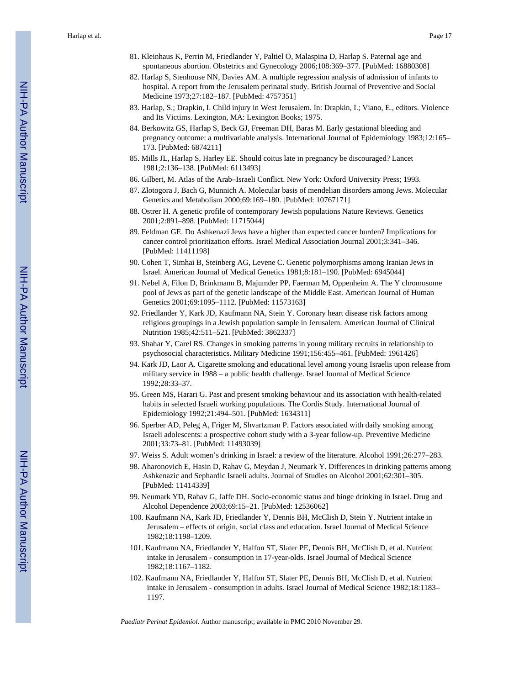- 81. Kleinhaus K, Perrin M, Friedlander Y, Paltiel O, Malaspina D, Harlap S. Paternal age and spontaneous abortion. Obstetrics and Gynecology 2006;108:369–377. [PubMed: 16880308]
- 82. Harlap S, Stenhouse NN, Davies AM. A multiple regression analysis of admission of infants to hospital. A report from the Jerusalem perinatal study. British Journal of Preventive and Social Medicine 1973;27:182–187. [PubMed: 4757351]
- 83. Harlap, S.; Drapkin, I. Child injury in West Jerusalem. In: Drapkin, I.; Viano, E., editors. Violence and Its Victims. Lexington, MA: Lexington Books; 1975.
- 84. Berkowitz GS, Harlap S, Beck GJ, Freeman DH, Baras M. Early gestational bleeding and pregnancy outcome: a multivariable analysis. International Journal of Epidemiology 1983;12:165– 173. [PubMed: 6874211]
- 85. Mills JL, Harlap S, Harley EE. Should coitus late in pregnancy be discouraged? Lancet 1981;2:136–138. [PubMed: 6113493]
- 86. Gilbert, M. Atlas of the Arab–Israeli Conflict. New York: Oxford University Press; 1993.
- 87. Zlotogora J, Bach G, Munnich A. Molecular basis of mendelian disorders among Jews. Molecular Genetics and Metabolism 2000;69:169–180. [PubMed: 10767171]
- 88. Ostrer H. A genetic profile of contemporary Jewish populations Nature Reviews. Genetics 2001;2:891–898. [PubMed: 11715044]
- 89. Feldman GE. Do Ashkenazi Jews have a higher than expected cancer burden? Implications for cancer control prioritization efforts. Israel Medical Association Journal 2001;3:341–346. [PubMed: 11411198]
- 90. Cohen T, Simhai B, Steinberg AG, Levene C. Genetic polymorphisms among Iranian Jews in Israel. American Journal of Medical Genetics 1981;8:181–190. [PubMed: 6945044]
- 91. Nebel A, Filon D, Brinkmann B, Majumder PP, Faerman M, Oppenheim A. The Y chromosome pool of Jews as part of the genetic landscape of the Middle East. American Journal of Human Genetics 2001;69:1095–1112. [PubMed: 11573163]
- 92. Friedlander Y, Kark JD, Kaufmann NA, Stein Y. Coronary heart disease risk factors among religious groupings in a Jewish population sample in Jerusalem. American Journal of Clinical Nutrition 1985;42:511–521. [PubMed: 3862337]
- 93. Shahar Y, Carel RS. Changes in smoking patterns in young military recruits in relationship to psychosocial characteristics. Military Medicine 1991;156:455–461. [PubMed: 1961426]
- 94. Kark JD, Laor A. Cigarette smoking and educational level among young Israelis upon release from military service in 1988 – a public health challenge. Israel Journal of Medical Science 1992;28:33–37.
- 95. Green MS, Harari G. Past and present smoking behaviour and its association with health-related habits in selected Israeli working populations. The Cordis Study. International Journal of Epidemiology 1992;21:494–501. [PubMed: 1634311]
- 96. Sperber AD, Peleg A, Friger M, Shvartzman P. Factors associated with daily smoking among Israeli adolescents: a prospective cohort study with a 3-year follow-up. Preventive Medicine 2001;33:73–81. [PubMed: 11493039]
- 97. Weiss S. Adult women's drinking in Israel: a review of the literature. Alcohol 1991;26:277–283.
- 98. Aharonovich E, Hasin D, Rahav G, Meydan J, Neumark Y. Differences in drinking patterns among Ashkenazic and Sephardic Israeli adults. Journal of Studies on Alcohol 2001;62:301–305. [PubMed: 11414339]
- 99. Neumark YD, Rahav G, Jaffe DH. Socio-economic status and binge drinking in Israel. Drug and Alcohol Dependence 2003;69:15–21. [PubMed: 12536062]
- 100. Kaufmann NA, Kark JD, Friedlander Y, Dennis BH, McClish D, Stein Y. Nutrient intake in Jerusalem – effects of origin, social class and education. Israel Journal of Medical Science 1982;18:1198–1209.
- 101. Kaufmann NA, Friedlander Y, Halfon ST, Slater PE, Dennis BH, McClish D, et al. Nutrient intake in Jerusalem - consumption in 17-year-olds. Israel Journal of Medical Science 1982;18:1167–1182.
- 102. Kaufmann NA, Friedlander Y, Halfon ST, Slater PE, Dennis BH, McClish D, et al. Nutrient intake in Jerusalem - consumption in adults. Israel Journal of Medical Science 1982;18:1183– 1197.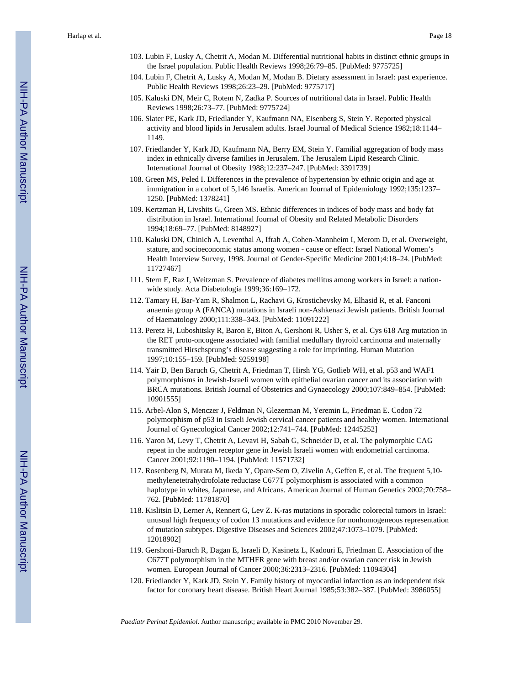- 103. Lubin F, Lusky A, Chetrit A, Modan M. Differential nutritional habits in distinct ethnic groups in the Israel population. Public Health Reviews 1998;26:79–85. [PubMed: 9775725]
- 104. Lubin F, Chetrit A, Lusky A, Modan M, Modan B. Dietary assessment in Israel: past experience. Public Health Reviews 1998;26:23–29. [PubMed: 9775717]
- 105. Kaluski DN, Meir C, Rotem N, Zadka P. Sources of nutritional data in Israel. Public Health Reviews 1998;26:73–77. [PubMed: 9775724]
- 106. Slater PE, Kark JD, Friedlander Y, Kaufmann NA, Eisenberg S, Stein Y. Reported physical activity and blood lipids in Jerusalem adults. Israel Journal of Medical Science 1982;18:1144– 1149.
- 107. Friedlander Y, Kark JD, Kaufmann NA, Berry EM, Stein Y. Familial aggregation of body mass index in ethnically diverse families in Jerusalem. The Jerusalem Lipid Research Clinic. International Journal of Obesity 1988;12:237–247. [PubMed: 3391739]
- 108. Green MS, Peled I. Differences in the prevalence of hypertension by ethnic origin and age at immigration in a cohort of 5,146 Israelis. American Journal of Epidemiology 1992;135:1237– 1250. [PubMed: 1378241]
- 109. Kertzman H, Livshits G, Green MS. Ethnic differences in indices of body mass and body fat distribution in Israel. International Journal of Obesity and Related Metabolic Disorders 1994;18:69–77. [PubMed: 8148927]
- 110. Kaluski DN, Chinich A, Leventhal A, Ifrah A, Cohen-Mannheim I, Merom D, et al. Overweight, stature, and socioeconomic status among women - cause or effect: Israel National Women's Health Interview Survey, 1998. Journal of Gender-Specific Medicine 2001;4:18–24. [PubMed: 11727467]
- 111. Stern E, Raz I, Weitzman S. Prevalence of diabetes mellitus among workers in Israel: a nationwide study. Acta Diabetologia 1999;36:169–172.
- 112. Tamary H, Bar-Yam R, Shalmon L, Rachavi G, Krostichevsky M, Elhasid R, et al. Fanconi anaemia group A (FANCA) mutations in Israeli non-Ashkenazi Jewish patients. British Journal of Haematology 2000;111:338–343. [PubMed: 11091222]
- 113. Peretz H, Luboshitsky R, Baron E, Biton A, Gershoni R, Usher S, et al. Cys 618 Arg mutation in the RET proto-oncogene associated with familial medullary thyroid carcinoma and maternally transmitted Hirschsprung's disease suggesting a role for imprinting. Human Mutation 1997;10:155–159. [PubMed: 9259198]
- 114. Yair D, Ben Baruch G, Chetrit A, Friedman T, Hirsh YG, Gotlieb WH, et al. p53 and WAF1 polymorphisms in Jewish-Israeli women with epithelial ovarian cancer and its association with BRCA mutations. British Journal of Obstetrics and Gynaecology 2000;107:849–854. [PubMed: 10901555]
- 115. Arbel-Alon S, Menczer J, Feldman N, Glezerman M, Yeremin L, Friedman E. Codon 72 polymorphism of p53 in Israeli Jewish cervical cancer patients and healthy women. International Journal of Gynecological Cancer 2002;12:741–744. [PubMed: 12445252]
- 116. Yaron M, Levy T, Chetrit A, Levavi H, Sabah G, Schneider D, et al. The polymorphic CAG repeat in the androgen receptor gene in Jewish Israeli women with endometrial carcinoma. Cancer 2001;92:1190–1194. [PubMed: 11571732]
- 117. Rosenberg N, Murata M, Ikeda Y, Opare-Sem O, Zivelin A, Geffen E, et al. The frequent 5,10 methylenetetrahydrofolate reductase C677T polymorphism is associated with a common haplotype in whites, Japanese, and Africans. American Journal of Human Genetics 2002;70:758– 762. [PubMed: 11781870]
- 118. Kislitsin D, Lerner A, Rennert G, Lev Z. K-ras mutations in sporadic colorectal tumors in Israel: unusual high frequency of codon 13 mutations and evidence for nonhomogeneous representation of mutation subtypes. Digestive Diseases and Sciences 2002;47:1073–1079. [PubMed: 12018902]
- 119. Gershoni-Baruch R, Dagan E, Israeli D, Kasinetz L, Kadouri E, Friedman E. Association of the C677T polymorphism in the MTHFR gene with breast and/or ovarian cancer risk in Jewish women. European Journal of Cancer 2000;36:2313–2316. [PubMed: 11094304]
- 120. Friedlander Y, Kark JD, Stein Y. Family history of myocardial infarction as an independent risk factor for coronary heart disease. British Heart Journal 1985;53:382–387. [PubMed: 3986055]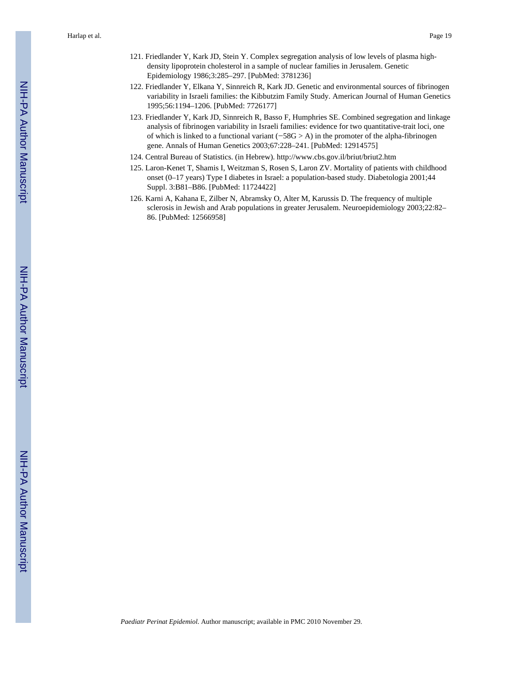Harlap et al. Page 19

- 121. Friedlander Y, Kark JD, Stein Y. Complex segregation analysis of low levels of plasma highdensity lipoprotein cholesterol in a sample of nuclear families in Jerusalem. Genetic Epidemiology 1986;3:285–297. [PubMed: 3781236]
- 122. Friedlander Y, Elkana Y, Sinnreich R, Kark JD. Genetic and environmental sources of fibrinogen variability in Israeli families: the Kibbutzim Family Study. American Journal of Human Genetics 1995;56:1194–1206. [PubMed: 7726177]
- 123. Friedlander Y, Kark JD, Sinnreich R, Basso F, Humphries SE. Combined segregation and linkage analysis of fibrinogen variability in Israeli families: evidence for two quantitative-trait loci, one of which is linked to a functional variant  $(-58G > A)$  in the promoter of the alpha-fibrinogen gene. Annals of Human Genetics 2003;67:228–241. [PubMed: 12914575]
- 124. Central Bureau of Statistics. (in Hebrew). <http://www.cbs.gov.il/briut/briut2.htm>
- 125. Laron-Kenet T, Shamis I, Weitzman S, Rosen S, Laron ZV. Mortality of patients with childhood onset (0–17 years) Type I diabetes in Israel: a population-based study. Diabetologia 2001;44 Suppl. 3:B81–B86. [PubMed: 11724422]
- 126. Karni A, Kahana E, Zilber N, Abramsky O, Alter M, Karussis D. The frequency of multiple sclerosis in Jewish and Arab populations in greater Jerusalem. Neuroepidemiology 2003;22:82– 86. [PubMed: 12566958]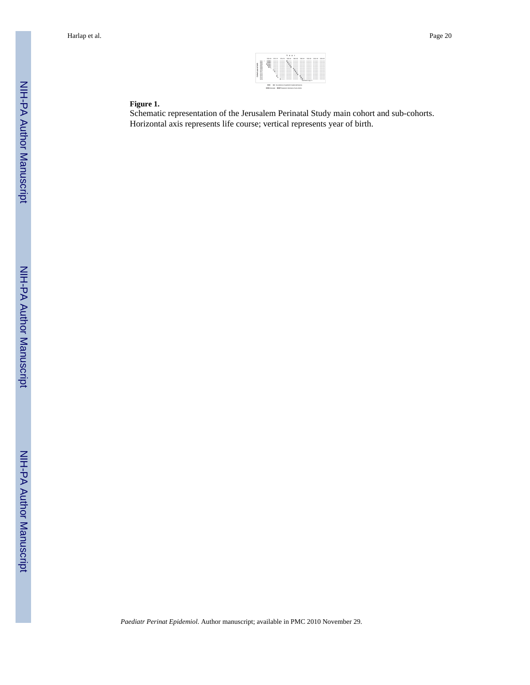

## **Figure 1.**

Schematic representation of the Jerusalem Perinatal Study main cohort and sub-cohorts. Horizontal axis represents life course; vertical represents year of birth.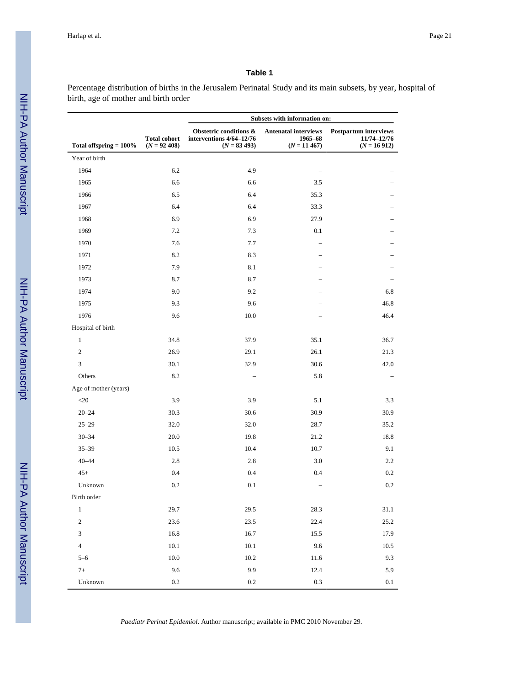Percentage distribution of births in the Jerusalem Perinatal Study and its main subsets, by year, hospital of birth, age of mother and birth order

|                           |                                        |                                                                      | Subsets with information on:                             |                                                              |
|---------------------------|----------------------------------------|----------------------------------------------------------------------|----------------------------------------------------------|--------------------------------------------------------------|
| Total offspring $= 100\%$ | <b>Total cohort</b><br>$(N = 92, 408)$ | Obstetric conditions &<br>interventions 4/64-12/76<br>$(N = 83 493)$ | <b>Antenatal interviews</b><br>1965-68<br>$(N = 11 467)$ | <b>Postpartum interviews</b><br>11/74-12/76<br>$(N = 16912)$ |
| Year of birth             |                                        |                                                                      |                                                          |                                                              |
| 1964                      | 6.2                                    | 4.9                                                                  |                                                          |                                                              |
| 1965                      | 6.6                                    | 6.6                                                                  | 3.5                                                      |                                                              |
| 1966                      | 6.5                                    | 6.4                                                                  | 35.3                                                     |                                                              |
| 1967                      | 6.4                                    | 6.4                                                                  | 33.3                                                     |                                                              |
| 1968                      | 6.9                                    | 6.9                                                                  | 27.9                                                     |                                                              |
| 1969                      | 7.2                                    | 7.3                                                                  | 0.1                                                      |                                                              |
| 1970                      | 7.6                                    | 7.7                                                                  |                                                          |                                                              |
| 1971                      | 8.2                                    | 8.3                                                                  |                                                          |                                                              |
| 1972                      | 7.9                                    | 8.1                                                                  |                                                          |                                                              |
| 1973                      | 8.7                                    | 8.7                                                                  |                                                          |                                                              |
| 1974                      | 9.0                                    | 9.2                                                                  |                                                          | 6.8                                                          |
| 1975                      | 9.3                                    | 9.6                                                                  |                                                          | 46.8                                                         |
| 1976                      | 9.6                                    | 10.0                                                                 |                                                          | 46.4                                                         |
| Hospital of birth         |                                        |                                                                      |                                                          |                                                              |
| $\mathbf{1}$              | 34.8                                   | 37.9                                                                 | 35.1                                                     | 36.7                                                         |
| $\mathbf{2}$              | 26.9                                   | 29.1                                                                 | 26.1                                                     | 21.3                                                         |
| 3                         | 30.1                                   | 32.9                                                                 | 30.6                                                     | 42.0                                                         |
| Others                    | 8.2                                    |                                                                      | 5.8                                                      |                                                              |
| Age of mother (years)     |                                        |                                                                      |                                                          |                                                              |
| $20$                      | 3.9                                    | 3.9                                                                  | 5.1                                                      | 3.3                                                          |
| $20 - 24$                 | 30.3                                   | 30.6                                                                 | 30.9                                                     | 30.9                                                         |
| $25 - 29$                 | 32.0                                   | 32.0                                                                 | 28.7                                                     | 35.2                                                         |
| $30 - 34$                 | 20.0                                   | 19.8                                                                 | 21.2                                                     | 18.8                                                         |
| $35 - 39$                 | 10.5                                   | 10.4                                                                 | 10.7                                                     | 9.1                                                          |
| $40 - 44$                 | 2.8                                    | 2.8                                                                  | 3.0                                                      | 2.2                                                          |
| $45+$                     | 0.4                                    | 0.4                                                                  | 0.4                                                      | 0.2                                                          |
| Unknown                   | 0.2                                    | 0.1                                                                  |                                                          | 0.2                                                          |
| Birth order               |                                        |                                                                      |                                                          |                                                              |
| $\mathbf{1}$              | 29.7                                   | 29.5                                                                 | 28.3                                                     | 31.1                                                         |
| $\,2$                     | 23.6                                   | 23.5                                                                 | 22.4                                                     | 25.2                                                         |
| $\sqrt{3}$                | 16.8                                   | 16.7                                                                 | 15.5                                                     | 17.9                                                         |
| $\overline{4}$            | $10.1\,$                               | $10.1\,$                                                             | 9.6                                                      | 10.5                                                         |
| $5 - 6$                   | $10.0\,$                               | $10.2\,$                                                             | 11.6                                                     | 9.3                                                          |
| $7+$                      | 9.6                                    | 9.9                                                                  | 12.4                                                     | 5.9                                                          |
| Unknown                   | $0.2\,$                                | 0.2                                                                  | 0.3                                                      | 0.1                                                          |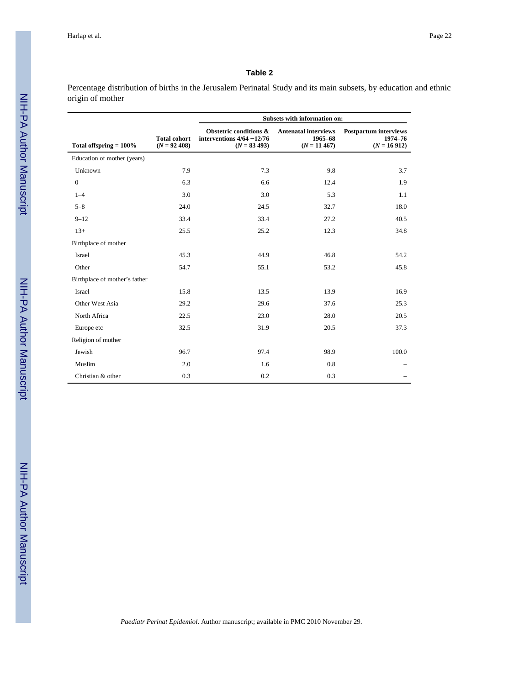Percentage distribution of births in the Jerusalem Perinatal Study and its main subsets, by education and ethnic origin of mother

|                               |                                        |                                                                          | Subsets with information on:                             |                                                          |
|-------------------------------|----------------------------------------|--------------------------------------------------------------------------|----------------------------------------------------------|----------------------------------------------------------|
| Total offspring $= 100\%$     | <b>Total cohort</b><br>$(N = 92, 408)$ | Obstetric conditions &<br>interventions $4/64 - 12/76$<br>$(N = 83 493)$ | <b>Antenatal interviews</b><br>1965-68<br>$(N = 11 467)$ | <b>Postpartum interviews</b><br>1974-76<br>$(N = 16912)$ |
| Education of mother (years)   |                                        |                                                                          |                                                          |                                                          |
| Unknown                       | 7.9                                    | 7.3                                                                      | 9.8                                                      | 3.7                                                      |
| $\boldsymbol{0}$              | 6.3                                    | 6.6                                                                      | 12.4                                                     | 1.9                                                      |
| $1 - 4$                       | 3.0                                    | 3.0                                                                      | 5.3                                                      | 1.1                                                      |
| $5 - 8$                       | 24.0                                   | 24.5                                                                     | 32.7                                                     | 18.0                                                     |
| $9 - 12$                      | 33.4                                   | 33.4                                                                     | 27.2                                                     | 40.5                                                     |
| $13+$                         | 25.5                                   | 25.2                                                                     | 12.3                                                     | 34.8                                                     |
| Birthplace of mother          |                                        |                                                                          |                                                          |                                                          |
| Israel                        | 45.3                                   | 44.9                                                                     | 46.8                                                     | 54.2                                                     |
| Other                         | 54.7                                   | 55.1                                                                     | 53.2                                                     | 45.8                                                     |
| Birthplace of mother's father |                                        |                                                                          |                                                          |                                                          |
| Israel                        | 15.8                                   | 13.5                                                                     | 13.9                                                     | 16.9                                                     |
| Other West Asia               | 29.2                                   | 29.6                                                                     | 37.6                                                     | 25.3                                                     |
| North Africa                  | 22.5                                   | 23.0                                                                     | 28.0                                                     | 20.5                                                     |
| Europe etc                    | 32.5                                   | 31.9                                                                     | 20.5                                                     | 37.3                                                     |
| Religion of mother            |                                        |                                                                          |                                                          |                                                          |
| Jewish                        | 96.7                                   | 97.4                                                                     | 98.9                                                     | 100.0                                                    |
| Muslim                        | 2.0                                    | 1.6                                                                      | 0.8                                                      |                                                          |
| Christian & other             | 0.3                                    | 0.2                                                                      | 0.3                                                      |                                                          |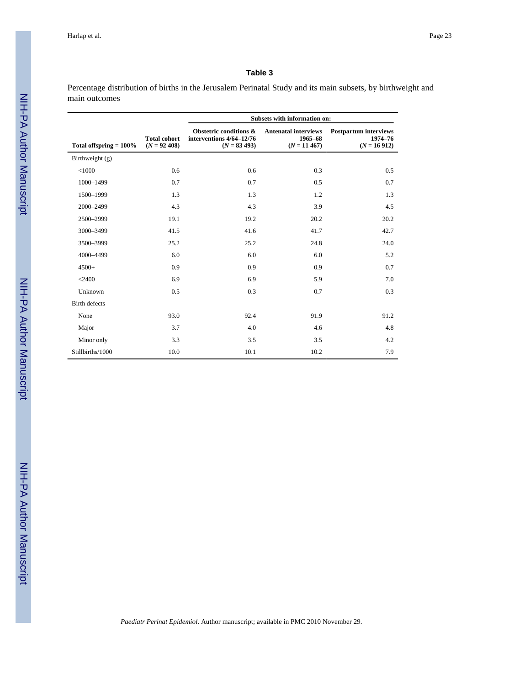Percentage distribution of births in the Jerusalem Perinatal Study and its main subsets, by birthweight and main outcomes

|                           |                                        |                                                                      | Subsets with information on:                             |                                                          |
|---------------------------|----------------------------------------|----------------------------------------------------------------------|----------------------------------------------------------|----------------------------------------------------------|
| Total offspring $= 100\%$ | <b>Total cohort</b><br>$(N = 92, 408)$ | Obstetric conditions &<br>interventions 4/64-12/76<br>$(N = 83 493)$ | <b>Antenatal interviews</b><br>1965-68<br>$(N = 11 467)$ | <b>Postpartum interviews</b><br>1974-76<br>$(N = 16912)$ |
| Birthweight (g)           |                                        |                                                                      |                                                          |                                                          |
| < 1000                    | 0.6                                    | 0.6                                                                  | 0.3                                                      | 0.5                                                      |
| 1000-1499                 | 0.7                                    | 0.7                                                                  | 0.5                                                      | 0.7                                                      |
| 1500-1999                 | 1.3                                    | 1.3                                                                  | 1.2                                                      | 1.3                                                      |
| 2000-2499                 | 4.3                                    | 4.3                                                                  | 3.9                                                      | 4.5                                                      |
| 2500-2999                 | 19.1                                   | 19.2                                                                 | 20.2                                                     | 20.2                                                     |
| 3000-3499                 | 41.5                                   | 41.6                                                                 | 41.7                                                     | 42.7                                                     |
| 3500-3999                 | 25.2                                   | 25.2                                                                 | 24.8                                                     | 24.0                                                     |
| 4000-4499                 | 6.0                                    | 6.0                                                                  | 6.0                                                      | 5.2                                                      |
| $4500+$                   | 0.9                                    | 0.9                                                                  | 0.9                                                      | 0.7                                                      |
| $<$ 2400                  | 6.9                                    | 6.9                                                                  | 5.9                                                      | 7.0                                                      |
| Unknown                   | 0.5                                    | 0.3                                                                  | 0.7                                                      | 0.3                                                      |
| <b>Birth defects</b>      |                                        |                                                                      |                                                          |                                                          |
| None                      | 93.0                                   | 92.4                                                                 | 91.9                                                     | 91.2                                                     |
| Major                     | 3.7                                    | 4.0                                                                  | 4.6                                                      | 4.8                                                      |
| Minor only                | 3.3                                    | 3.5                                                                  | 3.5                                                      | 4.2                                                      |
| Stillbirths/1000          | 10.0                                   | 10.1                                                                 | 10.2                                                     | 7.9                                                      |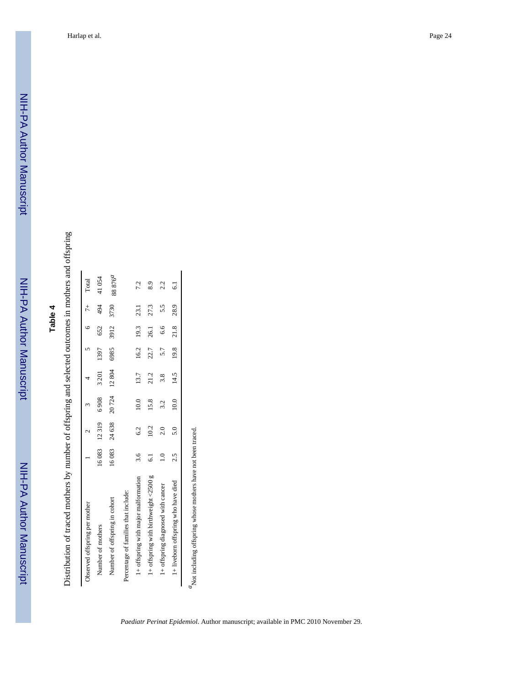Distribution of traced mothers by number of offspring and selected outcomes in mothers and offspring Distribution of traced mothers by number of offspring and selected outcomes in mothers and offspring

| Observed offspring per mother         |               |                |       |       |                | $5 \t 6 \t 7^+$ |      | Total               |
|---------------------------------------|---------------|----------------|-------|-------|----------------|-----------------|------|---------------------|
| Number of mothers                     |               | 16083 12319    | 6908  | 3 201 | 1397           | 652             | 494  | 41054               |
| Number of offspring in cohort         |               | 16083 24638    | 20724 | 12804 | 6985           | 3912            | 3730 | 88 876 <sup>a</sup> |
| Percentage of families that include:  |               |                |       |       |                |                 |      |                     |
| 1+ offspring with major malformation  | 3.6           | 6.2            | 10.0  | 13.7  |                | 16.2 19.3       | 23.1 | 72                  |
| 1+ offspring with birthweight <2500 g | ್ಪ            | 10.2           | 15.8  | 21.2  | 22.7           | 26.1            | 27.3 | 8.9                 |
| 1+ offspring diagnosed with cancer    | $\frac{1}{2}$ | 2.0            | 3.2   | 3.8   | 5.7            | $6.6\qquad5.5$  |      | 2.2                 |
| 1+ liveborn offspring who have died   | 2.5           | $\frac{5}{10}$ | 10.0  | 14.5  | 19.8 21.8 28.9 |                 |      | $\overline{6}$      |

 ${}^d\!$  Not including offspring whose mothers have not been traced.  $a'$ Not including offspring whose mothers have not been traced.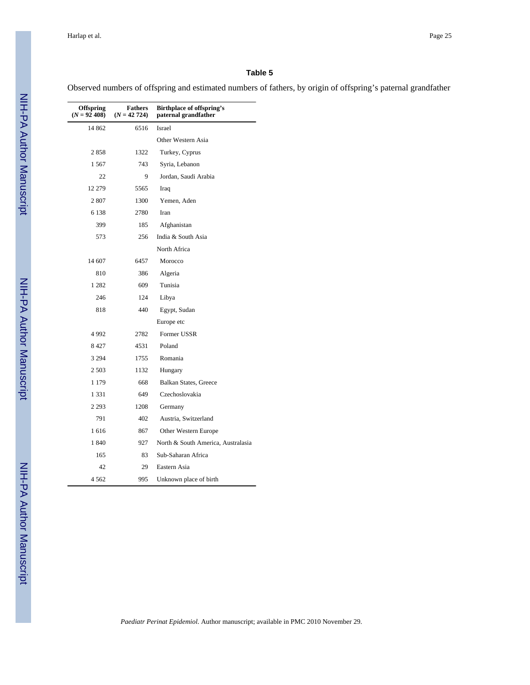# **Table 5**

Observed numbers of offspring and estimated numbers of fathers, by origin of offspring's paternal grandfather

| <b>Offspring</b><br>$(N = 92, 408)$ | Fathers<br>$(N = 42 724)$ | Birthplace of offspring's<br>paternal grandfather |
|-------------------------------------|---------------------------|---------------------------------------------------|
| 14 862                              | 6516                      | <b>Israel</b>                                     |
|                                     |                           | Other Western Asia                                |
| 2858                                | 1322                      | Turkey, Cyprus                                    |
| 1567                                | 743                       | Syria, Lebanon                                    |
| 22                                  | 9                         | Jordan, Saudi Arabia                              |
| 12 279                              | 5565                      | Iraq                                              |
| 2807                                | 1300                      | Yemen, Aden                                       |
| 6 1 3 8                             | 2780                      | Iran                                              |
| 399                                 | 185                       | Afghanistan                                       |
| 573                                 | 256                       | India & South Asia                                |
|                                     |                           | North Africa                                      |
| 14 607                              | 6457                      | Morocco                                           |
| 810                                 | 386                       | Algeria                                           |
| 1 2 8 2                             | 609                       | Tunisia                                           |
| 246                                 | 124                       | Libya                                             |
| 818                                 | 440                       | Egypt, Sudan                                      |
|                                     |                           | Europe etc                                        |
| 4992                                | 2782                      | Former USSR                                       |
| 8427                                | 4531                      | Poland                                            |
| 3 2 9 4                             | 1755                      | Romania                                           |
| 2 5 0 3                             | 1132                      | Hungary                                           |
| 1 1 7 9                             | 668                       | Balkan States, Greece                             |
| 1 3 3 1                             | 649                       | Czechoslovakia                                    |
| 2 2 9 3                             | 1208                      | Germany                                           |
| 791                                 | 402                       | Austria, Switzerland                              |
| 1616                                | 867                       | Other Western Europe                              |
| 1840                                | 927                       | North & South America, Australasia                |
| 165                                 | 83                        | Sub-Saharan Africa                                |
| 42                                  | 29                        | Eastern Asia                                      |
| 4 5 6 2                             | 995                       | Unknown place of birth                            |

*Paediatr Perinat Epidemiol*. Author manuscript; available in PMC 2010 November 29.

L,